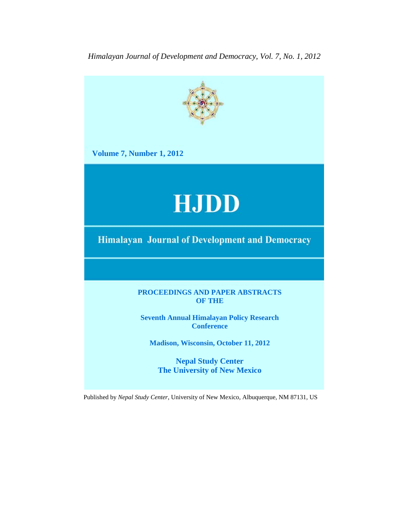*Himalayan Journal of Development and Democracy, Vol. 7, No. 1, 2012*



Published by *Nepal Study Center*, University of New Mexico, Albuquerque, NM 87131, US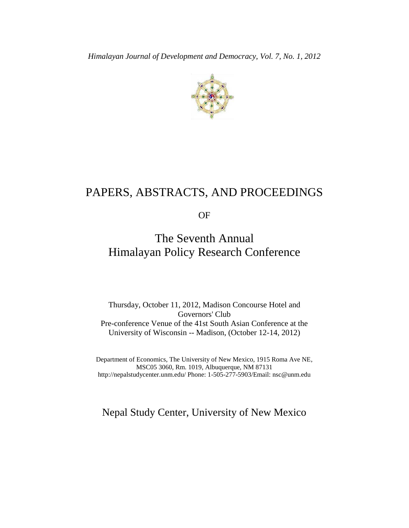

# PAPERS, ABSTRACTS, AND PROCEEDINGS

OF

# The Seventh Annual Himalayan Policy Research Conference

Thursday, October 11, 2012, Madison Concourse Hotel and Governors' Club Pre-conference Venue of the 41st South Asian Conference at the University of Wisconsin -- Madison, (October 12-14, 2012)

Department of Economics, The University of New Mexico, 1915 Roma Ave NE, MSC05 3060, Rm. 1019, Albuquerque, NM 87131 http://nepalstudycenter.unm.edu/ Phone: 1-505-277-5903/Email: nsc@unm.edu

Nepal Study Center, University of New Mexico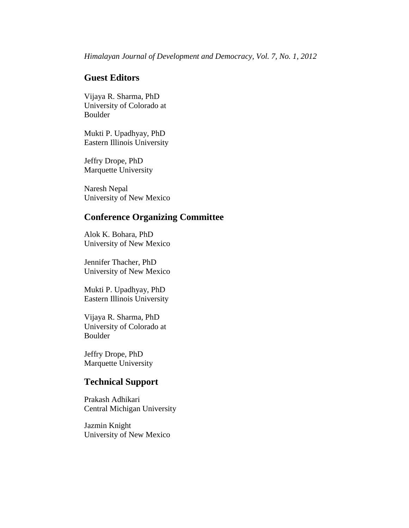# **Guest Editors**

Vijaya R. Sharma, PhD University of Colorado at Boulder

Mukti P. Upadhyay, PhD Eastern Illinois University

Jeffry Drope, PhD Marquette University

Naresh Nepal University of New Mexico

# **Conference Organizing Committee**

Alok K. Bohara, PhD University of New Mexico

Jennifer Thacher, PhD University of New Mexico

Mukti P. Upadhyay, PhD Eastern Illinois University

Vijaya R. Sharma, PhD University of Colorado at Boulder

Jeffry Drope, PhD Marquette University

# **Technical Support**

Prakash Adhikari Central Michigan University

Jazmin Knight University of New Mexico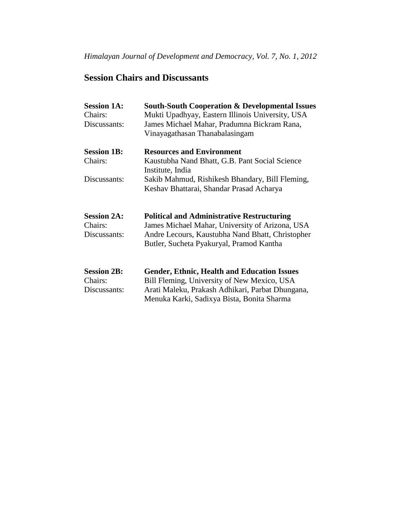# **Session Chairs and Discussants**

| <b>Session 1A:</b><br>Chairs: | <b>South-South Cooperation &amp; Developmental Issues</b><br>Mukti Upadhyay, Eastern Illinois University, USA |
|-------------------------------|---------------------------------------------------------------------------------------------------------------|
| Discussants:                  | James Michael Mahar, Pradumna Bickram Rana,                                                                   |
|                               | Vinayagathasan Thanabalasingam                                                                                |
| <b>Session 1B:</b>            | <b>Resources and Environment</b>                                                                              |
| Chairs:                       | Kaustubha Nand Bhatt, G.B. Pant Social Science<br>Institute, India                                            |
| Discussants:                  | Sakib Mahmud, Rishikesh Bhandary, Bill Fleming,                                                               |
|                               | Keshav Bhattarai, Shandar Prasad Acharya                                                                      |
| <b>Session 2A:</b>            | <b>Political and Administrative Restructuring</b>                                                             |
| Chairs:                       | James Michael Mahar, University of Arizona, USA                                                               |
| Discussants:                  | Andre Lecours, Kaustubha Nand Bhatt, Christopher<br>Butler, Sucheta Pyakuryal, Pramod Kantha                  |
| <b>Session 2B:</b>            |                                                                                                               |
| Chairs:                       | <b>Gender, Ethnic, Health and Education Issues</b><br>Bill Fleming, University of New Mexico, USA             |
| Discussants:                  | Arati Maleku, Prakash Adhikari, Parbat Dhungana,                                                              |
|                               | Menuka Karki, Sadixya Bista, Bonita Sharma                                                                    |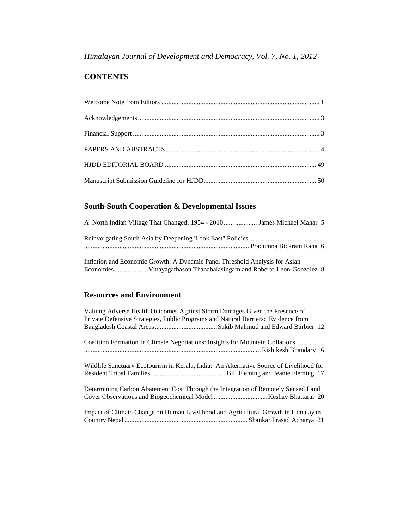*Himalayan Journal of Development and Democracy, Vol. 7, No. 1, 2012*

# **CONTENTS**

# **South-South Cooperation & Developmental Issues**

| A North Indian Village That Changed, 1954 - 2010  muss Universal Michael Mahar 5 |  |
|----------------------------------------------------------------------------------|--|
|                                                                                  |  |
|                                                                                  |  |

Inflation and Economic Growth: A Dynamic Panel Threshold Analysis for Asian Economies....................Vinayagathason Thanabalasingam and Roberto Leon-Gonzalez 8

# **Resources and Environment**

| Valuing Adverse Health Outcomes Against Storm Damages Given the Presence of<br>Private Defensive Strategies, Public Programs and Natural Barriers: Evidence from |
|------------------------------------------------------------------------------------------------------------------------------------------------------------------|
| Coalition Formation In Climate Negotiations: Insights for Mountain Collations                                                                                    |
| Wildlife Sanctuary Ecotourism in Kerala, India: An Alternative Source of Livelihood for                                                                          |
| Determining Carbon Abatement Cost Through the Integration of Remotely Sensed Land                                                                                |
| Impact of Climate Change on Human Livelihood and Agricultural Growth in Himalayan                                                                                |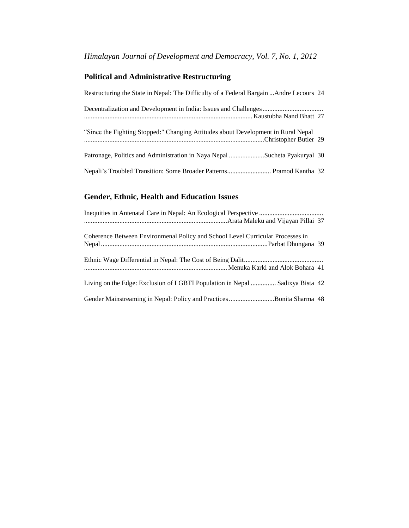# **Political and Administrative Restructuring**

| Restructuring the State in Nepal: The Difficulty of a Federal Bargain Andre Lecours 24 |  |
|----------------------------------------------------------------------------------------|--|
|                                                                                        |  |
| "Since the Fighting Stopped:" Changing Attitudes about Development in Rural Nepal      |  |
| Patronage, Politics and Administration in Naya Nepal Sucheta Pyakuryal 30              |  |
| Nepali's Troubled Transition: Some Broader Patterns Pramod Kantha 32                   |  |

# **Gender, Ethnic, Health and Education Issues**

| Inequities in Antenatal Care in Nepal: An Ecological Perspective               |
|--------------------------------------------------------------------------------|
|                                                                                |
| Coherence Between Environmenal Policy and School Level Curricular Processes in |
|                                                                                |
|                                                                                |
|                                                                                |
| Living on the Edge: Exclusion of LGBTI Population in Nepal  Sadixya Bista 42   |
| Gender Mainstreaming in Nepal: Policy and PracticesBonita Sharma 48            |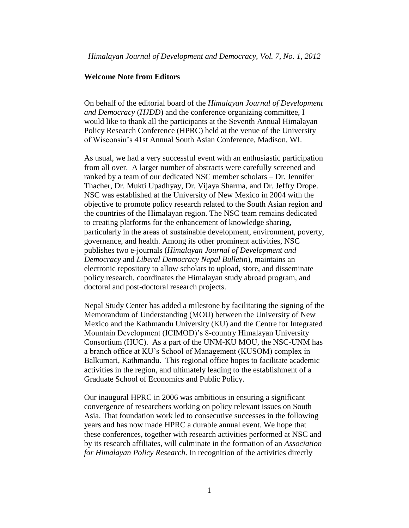## **Welcome Note from Editors**

On behalf of the editorial board of the *Himalayan Journal of Development and Democracy* (*HJDD*) and the conference organizing committee, I would like to thank all the participants at the Seventh Annual Himalayan Policy Research Conference (HPRC) held at the venue of the University of Wisconsin's 41st Annual South Asian Conference, Madison, WI.

As usual, we had a very successful event with an enthusiastic participation from all over. A larger number of abstracts were carefully screened and ranked by a team of our dedicated NSC member scholars – Dr. Jennifer Thacher, Dr. Mukti Upadhyay, Dr. Vijaya Sharma, and Dr. Jeffry Drope. NSC was established at the University of New Mexico in 2004 with the objective to promote policy research related to the South Asian region and the countries of the Himalayan region. The NSC team remains dedicated to creating platforms for the enhancement of knowledge sharing, particularly in the areas of sustainable development, environment, poverty, governance, and health. Among its other prominent activities, NSC publishes two e-journals (*Himalayan Journal of Development and Democracy* and *Liberal Democracy Nepal Bulletin*), maintains an electronic repository to allow scholars to upload, store, and disseminate policy research, coordinates the Himalayan study abroad program, and doctoral and post-doctoral research projects.

Nepal Study Center has added a milestone by facilitating the signing of the Memorandum of Understanding (MOU) between the University of New Mexico and the Kathmandu University (KU) and the Centre for Integrated Mountain Development (ICIMOD)'s 8-country Himalayan University Consortium (HUC). As a part of the UNM-KU MOU, the NSC-UNM has a branch office at KU's School of Management (KUSOM) complex in Balkumari, Kathmandu. This regional office hopes to facilitate academic activities in the region, and ultimately leading to the establishment of a Graduate School of Economics and Public Policy.

Our inaugural HPRC in 2006 was ambitious in ensuring a significant convergence of researchers working on policy relevant issues on South Asia. That foundation work led to consecutive successes in the following years and has now made HPRC a durable annual event. We hope that these conferences, together with research activities performed at NSC and by its research affiliates, will culminate in the formation of an *Association for Himalayan Policy Research*. In recognition of the activities directly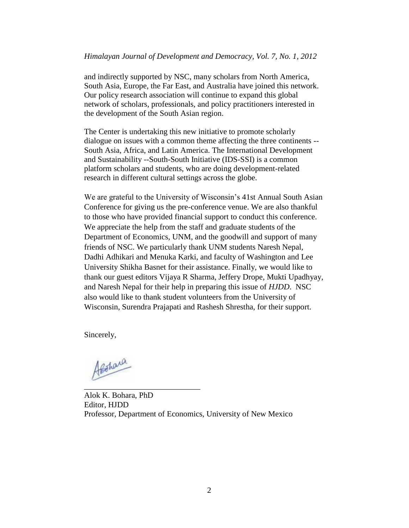and indirectly supported by NSC, many scholars from North America, South Asia, Europe, the Far East, and Australia have joined this network. Our policy research association will continue to expand this global network of scholars, professionals, and policy practitioners interested in the development of the South Asian region.

The Center is undertaking this new initiative to promote scholarly dialogue on issues with a common theme affecting the three continents -- South Asia, Africa, and Latin America. The International Development and Sustainability --South-South Initiative (IDS-SSI) is a common platform scholars and students, who are doing development-related research in different cultural settings across the globe.

We are grateful to the University of Wisconsin's 41st Annual South Asian Conference for giving us the pre-conference venue. We are also thankful to those who have provided financial support to conduct this conference. We appreciate the help from the staff and graduate students of the Department of Economics, UNM, and the goodwill and support of many friends of NSC. We particularly thank UNM students Naresh Nepal, Dadhi Adhikari and Menuka Karki, and faculty of Washington and Lee University Shikha Basnet for their assistance. Finally, we would like to thank our guest editors Vijaya R Sharma, Jeffery Drope, Mukti Upadhyay, and Naresh Nepal for their help in preparing this issue of *HJDD*. NSC also would like to thank student volunteers from the University of Wisconsin, Surendra Prajapati and Rashesh Shrestha, for their support.

Sincerely,

Alshara

\_\_\_\_\_\_\_\_\_\_\_\_\_\_\_\_\_\_\_\_\_\_\_\_\_\_\_\_\_

Alok K. Bohara, PhD Editor, HJDD Professor, Department of Economics, University of New Mexico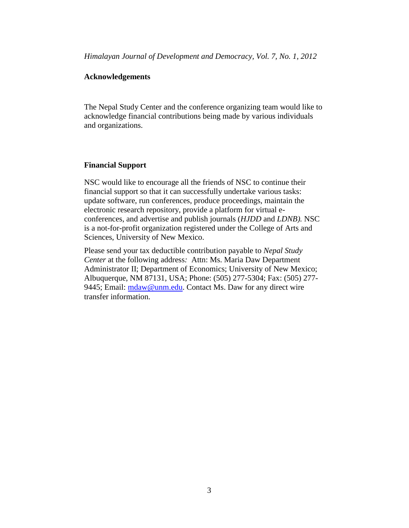*Himalayan Journal of Development and Democracy, Vol. 7, No. 1, 2012*

# <span id="page-8-0"></span>**Acknowledgements**

The Nepal Study Center and the conference organizing team would like to acknowledge financial contributions being made by various individuals and organizations.

## <span id="page-8-1"></span>**Financial Support**

NSC would like to encourage all the friends of NSC to continue their financial support so that it can successfully undertake various tasks: update software, run conferences, produce proceedings, maintain the electronic research repository, provide a platform for virtual econferences, and advertise and publish journals (*HJDD* and *LDNB).* NSC is a not-for-profit organization registered under the College of Arts and Sciences, University of New Mexico.

Please send your tax deductible contribution payable to *Nepal Study Center* at the following address*:* Attn: Ms. Maria Daw Department Administrator II; Department of Economics; University of New Mexico; Albuquerque, NM 87131, USA; Phone: (505) 277-5304; Fax: (505) 277 9445; Email: [mdaw@unm.edu.](mailto:mdaw@unm.edu) Contact Ms. Daw for any direct wire transfer information.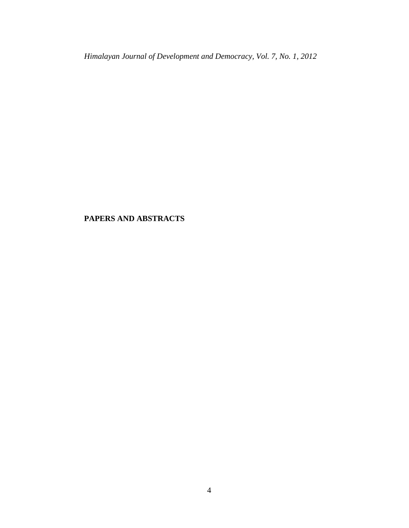*Himalayan Journal of Development and Democracy, Vol. 7, No. 1, 2012*

# <span id="page-9-0"></span>**PAPERS AND ABSTRACTS**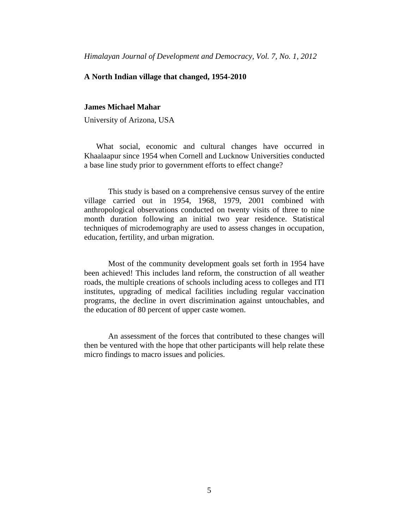### **A North Indian village that changed, 1954-2010**

## **James Michael Mahar**

University of Arizona, USA

What social, economic and cultural changes have occurred in Khaalaapur since 1954 when Cornell and Lucknow Universities conducted a base line study prior to government efforts to effect change?

This study is based on a comprehensive census survey of the entire village carried out in 1954, 1968, 1979, 2001 combined with anthropological observations conducted on twenty visits of three to nine month duration following an initial two year residence. Statistical techniques of microdemography are used to assess changes in occupation, education, fertility, and urban migration.

Most of the community development goals set forth in 1954 have been achieved! This includes land reform, the construction of all weather roads, the multiple creations of schools including acess to colleges and ITI institutes, upgrading of medical facilities including regular vaccination programs, the decline in overt discrimination against untouchables, and the education of 80 percent of upper caste women.

An assessment of the forces that contributed to these changes will then be ventured with the hope that other participants will help relate these micro findings to macro issues and policies.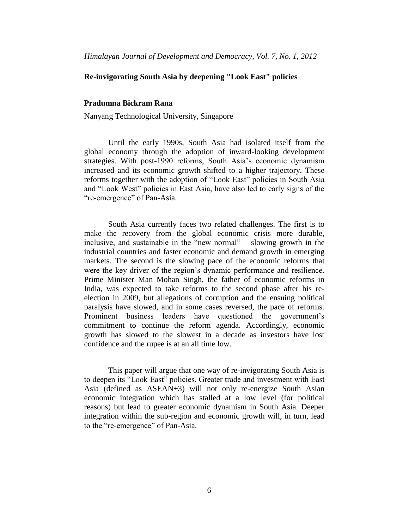## **Re-invigorating South Asia by deepening "Look East" policies**

#### **Pradumna Bickram Rana**

Nanyang Technological University, Singapore

Until the early 1990s, South Asia had isolated itself from the global economy through the adoption of inward-looking development strategies. With post-1990 reforms, South Asia's economic dynamism increased and its economic growth shifted to a higher trajectory. These reforms together with the adoption of "Look East" policies in South Asia and "Look West" policies in East Asia, have also led to early signs of the "re-emergence" of Pan-Asia.

South Asia currently faces two related challenges. The first is to make the recovery from the global economic crisis more durable, inclusive, and sustainable in the "new normal" – slowing growth in the industrial countries and faster economic and demand growth in emerging markets. The second is the slowing pace of the economic reforms that were the key driver of the region's dynamic performance and resilience. Prime Minister Man Mohan Singh, the father of economic reforms in India, was expected to take reforms to the second phase after his reelection in 2009, but allegations of corruption and the ensuing political paralysis have slowed, and in some cases reversed, the pace of reforms. Prominent business leaders have questioned the government's commitment to continue the reform agenda. Accordingly, economic growth has slowed to the slowest in a decade as investors have lost confidence and the rupee is at an all time low.

This paper will argue that one way of re-invigorating South Asia is to deepen its "Look East" policies. Greater trade and investment with East Asia (defined as ASEAN+3) will not only re-energize South Asian economic integration which has stalled at a low level (for political reasons) but lead to greater economic dynamism in South Asia. Deeper integration within the sub-region and economic growth will, in turn, lead to the "re-emergence" of Pan-Asia.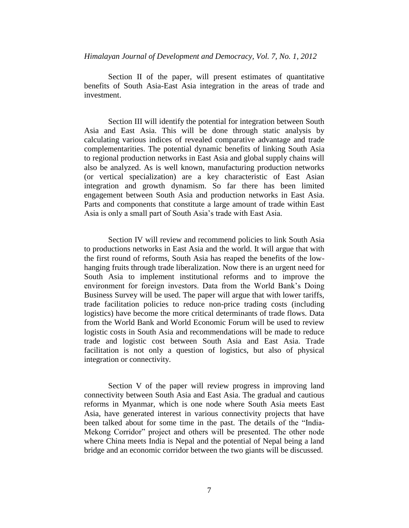*Himalayan Journal of Development and Democracy, Vol. 7, No. 1, 2012*

Section II of the paper, will present estimates of quantitative benefits of South Asia-East Asia integration in the areas of trade and investment.

Section III will identify the potential for integration between South Asia and East Asia. This will be done through static analysis by calculating various indices of revealed comparative advantage and trade complementarities. The potential dynamic benefits of linking South Asia to regional production networks in East Asia and global supply chains will also be analyzed. As is well known, manufacturing production networks (or vertical specialization) are a key characteristic of East Asian integration and growth dynamism. So far there has been limited engagement between South Asia and production networks in East Asia. Parts and components that constitute a large amount of trade within East Asia is only a small part of South Asia's trade with East Asia.

Section IV will review and recommend policies to link South Asia to productions networks in East Asia and the world. It will argue that with the first round of reforms, South Asia has reaped the benefits of the lowhanging fruits through trade liberalization. Now there is an urgent need for South Asia to implement institutional reforms and to improve the environment for foreign investors. Data from the World Bank's Doing Business Survey will be used. The paper will argue that with lower tariffs, trade facilitation policies to reduce non-price trading costs (including logistics) have become the more critical determinants of trade flows. Data from the World Bank and World Economic Forum will be used to review logistic costs in South Asia and recommendations will be made to reduce trade and logistic cost between South Asia and East Asia. Trade facilitation is not only a question of logistics, but also of physical integration or connectivity.

Section V of the paper will review progress in improving land connectivity between South Asia and East Asia. The gradual and cautious reforms in Myanmar, which is one node where South Asia meets East Asia, have generated interest in various connectivity projects that have been talked about for some time in the past. The details of the "India-Mekong Corridor" project and others will be presented. The other node where China meets India is Nepal and the potential of Nepal being a land bridge and an economic corridor between the two giants will be discussed.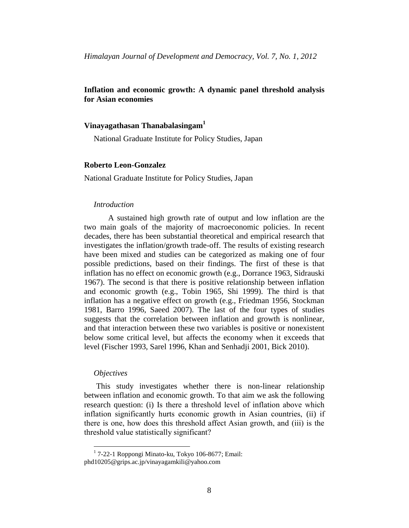# **Inflation and economic growth: A dynamic panel threshold analysis for Asian economies**

## **Vinayagathasan Thanabalasingam<sup>1</sup>**

National Graduate Institute for Policy Studies, Japan

#### **Roberto Leon-Gonzalez**

National Graduate Institute for Policy Studies, Japan

#### *Introduction*

A sustained high growth rate of output and low inflation are the two main goals of the majority of macroeconomic policies. In recent decades, there has been substantial theoretical and empirical research that investigates the inflation/growth trade-off. The results of existing research have been mixed and studies can be categorized as making one of four possible predictions, based on their findings. The first of these is that inflation has no effect on economic growth (e.g., Dorrance 1963, Sidrauski 1967). The second is that there is positive relationship between inflation and economic growth (e.g., Tobin 1965, Shi 1999). The third is that inflation has a negative effect on growth (e.g., Friedman 1956, Stockman 1981, Barro 1996, Saeed 2007). The last of the four types of studies suggests that the correlation between inflation and growth is nonlinear, and that interaction between these two variables is positive or nonexistent below some critical level, but affects the economy when it exceeds that level (Fischer 1993, Sarel 1996, Khan and Senhadji 2001, Bick 2010).

#### *Objectives*

 $\overline{a}$ 

This study investigates whether there is non-linear relationship between inflation and economic growth. To that aim we ask the following research question: (i) Is there a threshold level of inflation above which inflation significantly hurts economic growth in Asian countries, (ii) if there is one, how does this threshold affect Asian growth, and (iii) is the threshold value statistically significant?

<sup>1</sup> 7-22-1 Roppongi Minato-ku, Tokyo 106-8677; Email: phd10205@grips.ac.jp/vinayagamkili@yahoo.com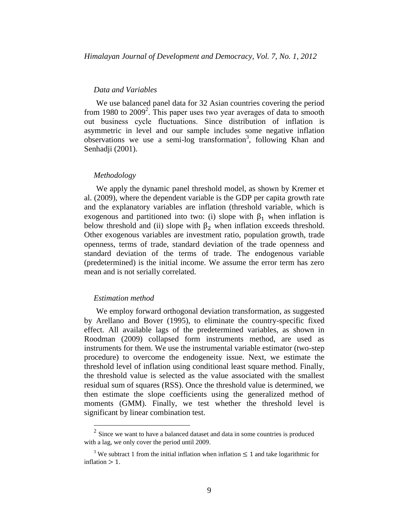#### *Data and Variables*

We use balanced panel data for 32 Asian countries covering the period from 1980 to  $2009^2$ . This paper uses two year averages of data to smooth out business cycle fluctuations. Since distribution of inflation is asymmetric in level and our sample includes some negative inflation observations we use a semi-log transformation<sup>3</sup>, following Khan and Senhadji (2001).

#### *Methodology*

We apply the dynamic panel threshold model, as shown by Kremer et al. (2009), where the dependent variable is the GDP per capita growth rate and the explanatory variables are inflation (threshold variable, which is exogenous and partitioned into two: (i) slope with  $\beta_1$  when inflation is below threshold and (ii) slope with  $\beta_2$  when inflation exceeds threshold. Other exogenous variables are investment ratio, population growth, trade openness, terms of trade, standard deviation of the trade openness and standard deviation of the terms of trade. The endogenous variable (predetermined) is the initial income. We assume the error term has zero mean and is not serially correlated.

## *Estimation method*

We employ forward orthogonal deviation transformation, as suggested by Arellano and Bover (1995), to eliminate the country-specific fixed effect. All available lags of the predetermined variables, as shown in Roodman (2009) collapsed form instruments method, are used as instruments for them. We use the instrumental variable estimator (two-step procedure) to overcome the endogeneity issue. Next, we estimate the threshold level of inflation using conditional least square method. Finally, the threshold value is selected as the value associated with the smallest residual sum of squares (RSS). Once the threshold value is determined, we then estimate the slope coefficients using the generalized method of moments (GMM). Finally, we test whether the threshold level is significant by linear combination test.

<sup>&</sup>lt;sup>2</sup> Since we want to have a balanced dataset and data in some countries is produced with a lag, we only cover the period until 2009.

<sup>&</sup>lt;sup>3</sup> We subtract 1 from the initial inflation when inflation  $\leq 1$  and take logarithmic for  $inflation > 1$ .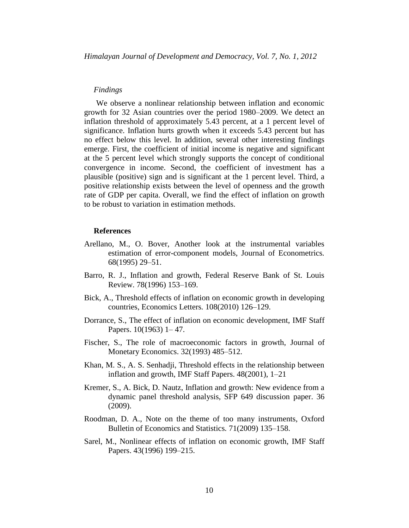#### *Findings*

We observe a nonlinear relationship between inflation and economic growth for 32 Asian countries over the period 1980–2009. We detect an inflation threshold of approximately 5.43 percent, at a 1 percent level of significance. Inflation hurts growth when it exceeds 5.43 percent but has no effect below this level. In addition, several other interesting findings emerge. First, the coefficient of initial income is negative and significant at the 5 percent level which strongly supports the concept of conditional convergence in income. Second, the coefficient of investment has a plausible (positive) sign and is significant at the 1 percent level. Third, a positive relationship exists between the level of openness and the growth rate of GDP per capita. Overall, we find the effect of inflation on growth to be robust to variation in estimation methods.

#### **References**

- Arellano, M., O. Bover, Another look at the instrumental variables estimation of error-component models, Journal of Econometrics*.* 68(1995) 29–51.
- Barro, R. J., Inflation and growth, Federal Reserve Bank of St. Louis Review. 78(1996) 153–169.
- Bick, A., Threshold effects of inflation on economic growth in developing countries, Economics Letters*.* 108(2010) 126–129.
- Dorrance, S., The effect of inflation on economic development, IMF Staff Papers. 10(1963) 1– 47.
- Fischer, S., The role of macroeconomic factors in growth, Journal of Monetary Economics. 32(1993) 485–512.
- Khan, M. S., A. S. Senhadji, Threshold effects in the relationship between inflation and growth, IMF Staff Papers. 48(2001), 1–21
- Kremer, S., A. Bick, D. Nautz, Inflation and growth: New evidence from a dynamic panel threshold analysis, SFP 649 discussion paper. 36 (2009).
- Roodman, D. A., Note on the theme of too many instruments, Oxford Bulletin of Economics and Statistics*.* 71(2009) 135–158.
- Sarel, M., Nonlinear effects of inflation on economic growth, IMF Staff Papers. 43(1996) 199–215.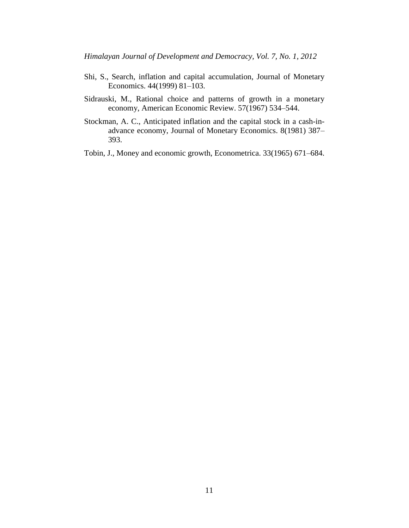- Shi, S., Search, inflation and capital accumulation, Journal of Monetary Economics. 44(1999) 81–103.
- Sidrauski, M., Rational choice and patterns of growth in a monetary economy, American Economic Review. 57(1967) 534–544.
- Stockman, A. C., Anticipated inflation and the capital stock in a cash-inadvance economy, Journal of Monetary Economics. 8(1981) 387– 393.
- Tobin, J., Money and economic growth, Econometrica. 33(1965) 671–684.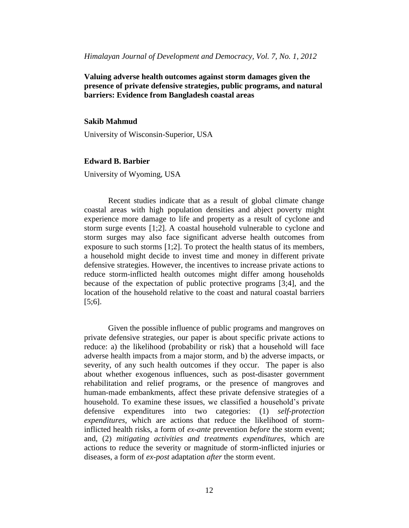**Valuing adverse health outcomes against storm damages given the presence of private defensive strategies, public programs, and natural barriers: Evidence from Bangladesh coastal areas**

## **Sakib Mahmud**

University of Wisconsin-Superior, USA

# **Edward B. Barbier**

University of Wyoming, USA

Recent studies indicate that as a result of global climate change coastal areas with high population densities and abject poverty might experience more damage to life and property as a result of cyclone and storm surge events [1;2]. A coastal household vulnerable to cyclone and storm surges may also face significant adverse health outcomes from exposure to such storms [1;2]. To protect the health status of its members, a household might decide to invest time and money in different private defensive strategies. However, the incentives to increase private actions to reduce storm-inflicted health outcomes might differ among households because of the expectation of public protective programs [3;4], and the location of the household relative to the coast and natural coastal barriers [5;6].

Given the possible influence of public programs and mangroves on private defensive strategies, our paper is about specific private actions to reduce: a) the likelihood (probability or risk) that a household will face adverse health impacts from a major storm, and b) the adverse impacts, or severity, of any such health outcomes if they occur. The paper is also about whether exogenous influences, such as post-disaster government rehabilitation and relief programs, or the presence of mangroves and human-made embankments, affect these private defensive strategies of a household. To examine these issues, we classified a household's private defensive expenditures into two categories: (1) *self-protection expenditures*, which are actions that reduce the likelihood of storminflicted health risks, a form of *ex-ante* prevention *before* the storm event; and, (2) *mitigating activities and treatments expenditures*, which are actions to reduce the severity or magnitude of storm-inflicted injuries or diseases, a form of *ex-post* adaptation *after* the storm event.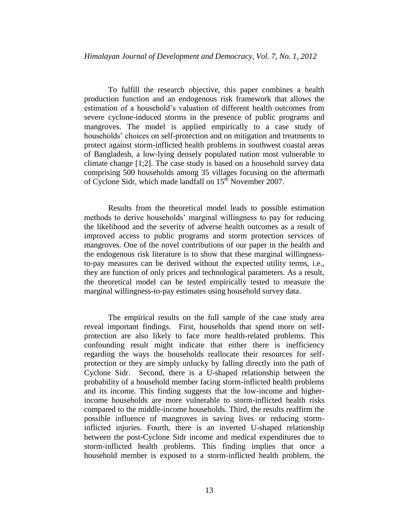To fulfill the research objective, this paper combines a health production function and an endogenous risk framework that allows the estimation of a household's valuation of different health outcomes from severe cyclone-induced storms in the presence of public programs and mangroves. The model is applied empirically to a case study of households' choices on self-protection and on mitigation and treatments to protect against storm-inflicted health problems in southwest coastal areas of Bangladesh, a low-lying densely populated nation most vulnerable to climate change [1;2]. The case study is based on a household survey data comprising 500 households among 35 villages focusing on the aftermath of Cyclone Sidr, which made landfall on 15<sup>th</sup> November 2007.

Results from the theoretical model leads to possible estimation methods to derive households' marginal willingness to pay for reducing the likelihood and the severity of adverse health outcomes as a result of improved access to public programs and storm protection services of mangroves. One of the novel contributions of our paper in the health and the endogenous risk literature is to show that these marginal willingnessto-pay measures can be derived without the expected utility terms, i.e., they are function of only prices and technological parameters. As a result, the theoretical model can be tested empirically tested to measure the marginal willingness-to-pay estimates using household survey data.

The empirical results on the full sample of the case study area reveal important findings. First, households that spend more on selfprotection are also likely to face more health-related problems. This confounding result might indicate that either there is inefficiency regarding the ways the households reallocate their resources for selfprotection or they are simply unlucky by falling directly into the path of Cyclone Sidr. Second, there is a U-shaped relationship between the probability of a household member facing storm-inflicted health problems and its income. This finding suggests that the low-income and higherincome households are more vulnerable to storm-inflicted health risks compared to the middle-income households. Third, the results reaffirm the possible influence of mangroves in saving lives or reducing storminflicted injuries. Fourth, there is an inverted U-shaped relationship between the post-Cyclone Sidr income and medical expenditures due to storm-inflicted health problems. This finding implies that once a household member is exposed to a storm-inflicted health problem, the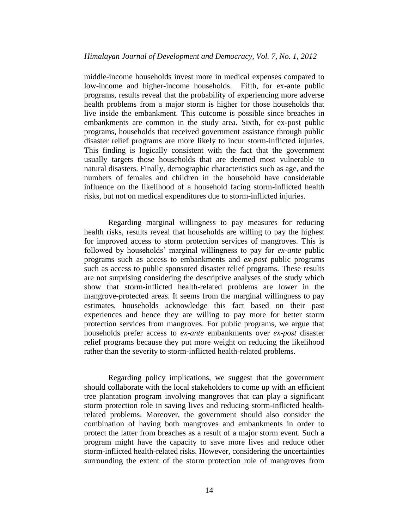middle-income households invest more in medical expenses compared to low-income and higher-income households. Fifth, for ex-ante public programs, results reveal that the probability of experiencing more adverse health problems from a major storm is higher for those households that live inside the embankment. This outcome is possible since breaches in embankments are common in the study area. Sixth, for ex-post public programs, households that received government assistance through public disaster relief programs are more likely to incur storm-inflicted injuries. This finding is logically consistent with the fact that the government usually targets those households that are deemed most vulnerable to natural disasters. Finally, demographic characteristics such as age, and the numbers of females and children in the household have considerable influence on the likelihood of a household facing storm-inflicted health risks, but not on medical expenditures due to storm-inflicted injuries.

Regarding marginal willingness to pay measures for reducing health risks, results reveal that households are willing to pay the highest for improved access to storm protection services of mangroves. This is followed by households' marginal willingness to pay for *ex-ante* public programs such as access to embankments and *ex-post* public programs such as access to public sponsored disaster relief programs. These results are not surprising considering the descriptive analyses of the study which show that storm-inflicted health-related problems are lower in the mangrove-protected areas. It seems from the marginal willingness to pay estimates, households acknowledge this fact based on their past experiences and hence they are willing to pay more for better storm protection services from mangroves. For public programs, we argue that households prefer access to *ex-ante* embankments over *ex-post* disaster relief programs because they put more weight on reducing the likelihood rather than the severity to storm-inflicted health-related problems.

Regarding policy implications, we suggest that the government should collaborate with the local stakeholders to come up with an efficient tree plantation program involving mangroves that can play a significant storm protection role in saving lives and reducing storm-inflicted healthrelated problems. Moreover, the government should also consider the combination of having both mangroves and embankments in order to protect the latter from breaches as a result of a major storm event. Such a program might have the capacity to save more lives and reduce other storm-inflicted health-related risks. However, considering the uncertainties surrounding the extent of the storm protection role of mangroves from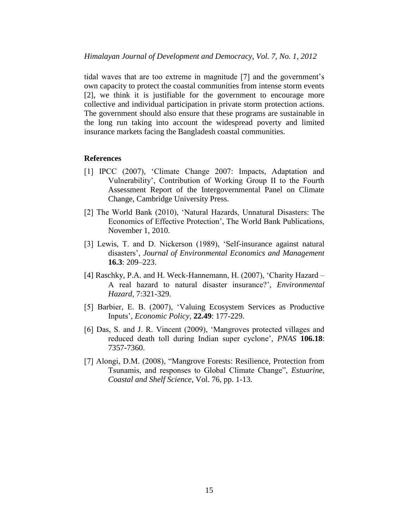tidal waves that are too extreme in magnitude [7] and the government's own capacity to protect the coastal communities from intense storm events [2], we think it is justifiable for the government to encourage more collective and individual participation in private storm protection actions. The government should also ensure that these programs are sustainable in the long run taking into account the widespread poverty and limited insurance markets facing the Bangladesh coastal communities.

#### **References**

- [1] IPCC (2007), 'Climate Change 2007: Impacts, Adaptation and Vulnerability', Contribution of Working Group II to the Fourth Assessment Report of the Intergovernmental Panel on Climate Change, Cambridge University Press.
- [2] The World Bank (2010), 'Natural Hazards, Unnatural Disasters: The Economics of Effective Protection', The World Bank Publications, November 1, 2010.
- [3] Lewis, T. and D. Nickerson (1989), 'Self-insurance against natural disasters', *Journal of Environmental Economics and Management*  **16.3**: 209–223.
- [4] Raschky, P.A. and H. Weck-Hannemann, H. (2007), 'Charity Hazard A real hazard to natural disaster insurance?', *Environmental Hazard*, 7:321-329.
- [5] Barbier, E. B. (2007), 'Valuing Ecosystem Services as Productive Inputs', *Economic Policy*, **22.49**: 177-229.
- [6] Das, S. and J. R. Vincent (2009), 'Mangroves protected villages and reduced death toll during Indian super cyclone', *PNAS* **106.18**: 7357-7360.
- [7] Alongi, D.M. (2008), "Mangrove Forests: Resilience, Protection from Tsunamis, and responses to Global Climate Change", *Estuarine, Coastal and Shelf Science*, Vol. 76, pp. 1-13.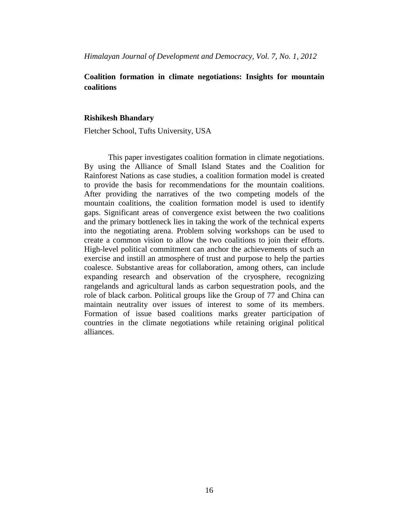*Himalayan Journal of Development and Democracy, Vol. 7, No. 1, 2012*

# **Coalition formation in climate negotiations: Insights for mountain coalitions**

## **Rishikesh Bhandary**

Fletcher School, Tufts University, USA

This paper investigates coalition formation in climate negotiations. By using the Alliance of Small Island States and the Coalition for Rainforest Nations as case studies, a coalition formation model is created to provide the basis for recommendations for the mountain coalitions. After providing the narratives of the two competing models of the mountain coalitions, the coalition formation model is used to identify gaps. Significant areas of convergence exist between the two coalitions and the primary bottleneck lies in taking the work of the technical experts into the negotiating arena. Problem solving workshops can be used to create a common vision to allow the two coalitions to join their efforts. High-level political commitment can anchor the achievements of such an exercise and instill an atmosphere of trust and purpose to help the parties coalesce. Substantive areas for collaboration, among others, can include expanding research and observation of the cryosphere, recognizing rangelands and agricultural lands as carbon sequestration pools, and the role of black carbon. Political groups like the Group of 77 and China can maintain neutrality over issues of interest to some of its members. Formation of issue based coalitions marks greater participation of countries in the climate negotiations while retaining original political alliances.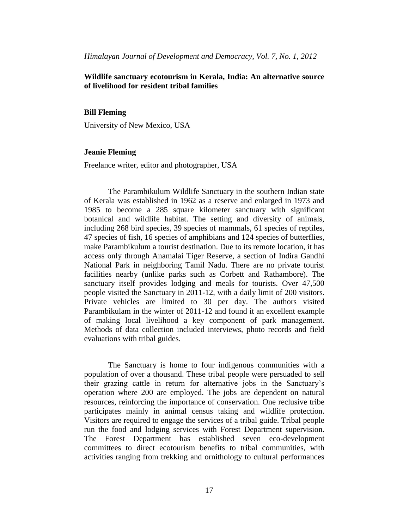# **Wildlife sanctuary ecotourism in Kerala, India: An alternative source of livelihood for resident tribal families**

#### **Bill Fleming**

University of New Mexico, USA

## **Jeanie Fleming**

Freelance writer, editor and photographer, USA

The Parambikulum Wildlife Sanctuary in the southern Indian state of Kerala was established in 1962 as a reserve and enlarged in 1973 and 1985 to become a 285 square kilometer sanctuary with significant botanical and wildlife habitat. The setting and diversity of animals, including 268 bird species, 39 species of mammals, 61 species of reptiles, 47 species of fish, 16 species of amphibians and 124 species of butterflies, make Parambikulum a tourist destination. Due to its remote location, it has access only through Anamalai Tiger Reserve, a section of Indira Gandhi National Park in neighboring Tamil Nadu. There are no private tourist facilities nearby (unlike parks such as Corbett and Rathambore). The sanctuary itself provides lodging and meals for tourists. Over 47,500 people visited the Sanctuary in 2011-12, with a daily limit of 200 visitors. Private vehicles are limited to 30 per day. The authors visited Parambikulam in the winter of 2011-12 and found it an excellent example of making local livelihood a key component of park management. Methods of data collection included interviews, photo records and field evaluations with tribal guides.

The Sanctuary is home to four indigenous communities with a population of over a thousand. These tribal people were persuaded to sell their grazing cattle in return for alternative jobs in the Sanctuary's operation where 200 are employed. The jobs are dependent on natural resources, reinforcing the importance of conservation. One reclusive tribe participates mainly in animal census taking and wildlife protection. Visitors are required to engage the services of a tribal guide. Tribal people run the food and lodging services with Forest Department supervision. The Forest Department has established seven eco-development committees to direct ecotourism benefits to tribal communities, with activities ranging from trekking and ornithology to cultural performances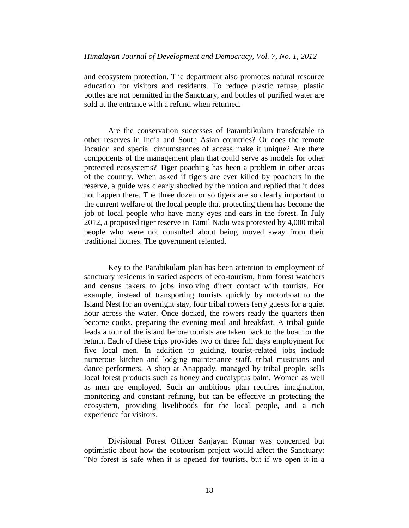and ecosystem protection. The department also promotes natural resource education for visitors and residents. To reduce plastic refuse, plastic bottles are not permitted in the Sanctuary, and bottles of purified water are sold at the entrance with a refund when returned.

Are the conservation successes of Parambikulam transferable to other reserves in India and South Asian countries? Or does the remote location and special circumstances of access make it unique? Are there components of the management plan that could serve as models for other protected ecosystems? Tiger poaching has been a problem in other areas of the country. When asked if tigers are ever killed by poachers in the reserve, a guide was clearly shocked by the notion and replied that it does not happen there. The three dozen or so tigers are so clearly important to the current welfare of the local people that protecting them has become the job of local people who have many eyes and ears in the forest. In July 2012, a proposed tiger reserve in Tamil Nadu was protested by 4,000 tribal people who were not consulted about being moved away from their traditional homes. The government relented.

Key to the Parabikulam plan has been attention to employment of sanctuary residents in varied aspects of eco-tourism, from forest watchers and census takers to jobs involving direct contact with tourists. For example, instead of transporting tourists quickly by motorboat to the Island Nest for an overnight stay, four tribal rowers ferry guests for a quiet hour across the water. Once docked, the rowers ready the quarters then become cooks, preparing the evening meal and breakfast. A tribal guide leads a tour of the island before tourists are taken back to the boat for the return. Each of these trips provides two or three full days employment for five local men. In addition to guiding, tourist-related jobs include numerous kitchen and lodging maintenance staff, tribal musicians and dance performers. A shop at Anappady, managed by tribal people, sells local forest products such as honey and eucalyptus balm. Women as well as men are employed. Such an ambitious plan requires imagination, monitoring and constant refining, but can be effective in protecting the ecosystem, providing livelihoods for the local people, and a rich experience for visitors.

Divisional Forest Officer Sanjayan Kumar was concerned but optimistic about how the ecotourism project would affect the Sanctuary: "No forest is safe when it is opened for tourists, but if we open it in a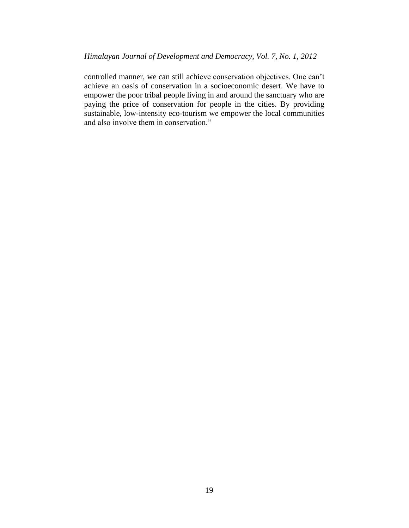controlled manner, we can still achieve conservation objectives. One can't achieve an oasis of conservation in a socioeconomic desert. We have to empower the poor tribal people living in and around the sanctuary who are paying the price of conservation for people in the cities. By providing sustainable, low-intensity eco-tourism we empower the local communities and also involve them in conservation."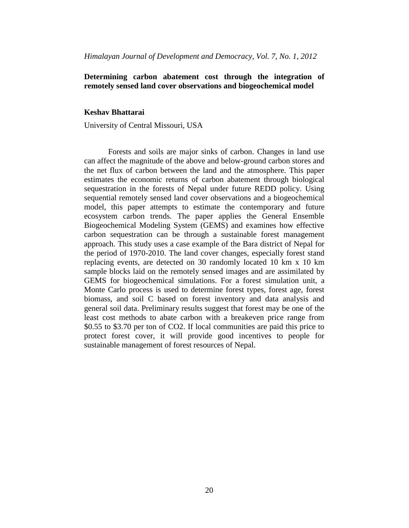# **Determining carbon abatement cost through the integration of remotely sensed land cover observations and biogeochemical model**

#### **Keshav Bhattarai**

University of Central Missouri, USA

Forests and soils are major sinks of carbon. Changes in land use can affect the magnitude of the above and below-ground carbon stores and the net flux of carbon between the land and the atmosphere. This paper estimates the economic returns of carbon abatement through biological sequestration in the forests of Nepal under future REDD policy. Using sequential remotely sensed land cover observations and a biogeochemical model, this paper attempts to estimate the contemporary and future ecosystem carbon trends. The paper applies the General Ensemble Biogeochemical Modeling System (GEMS) and examines how effective carbon sequestration can be through a sustainable forest management approach. This study uses a case example of the Bara district of Nepal for the period of 1970-2010. The land cover changes, especially forest stand replacing events, are detected on 30 randomly located 10 km x 10 km sample blocks laid on the remotely sensed images and are assimilated by GEMS for biogeochemical simulations. For a forest simulation unit, a Monte Carlo process is used to determine forest types, forest age, forest biomass, and soil C based on forest inventory and data analysis and general soil data. Preliminary results suggest that forest may be one of the least cost methods to abate carbon with a breakeven price range from \$0.55 to \$3.70 per ton of CO2. If local communities are paid this price to protect forest cover, it will provide good incentives to people for sustainable management of forest resources of Nepal.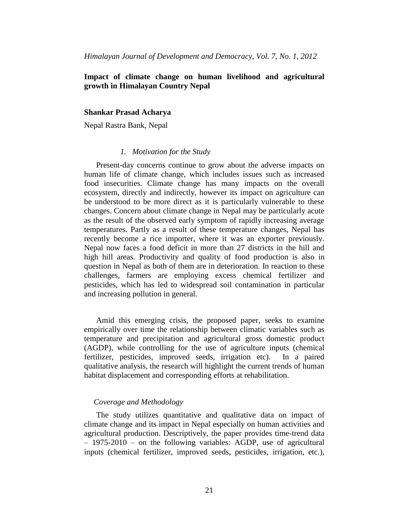# **Impact of climate change on human livelihood and agricultural growth in Himalayan Country Nepal**

#### **Shankar Prasad Acharya**

Nepal Rastra Bank, Nepal

## *1. Motivation for the Study*

Present-day concerns continue to grow about the adverse impacts on human life of climate change, which includes issues such as increased food insecurities. Climate change has many impacts on the overall ecosystem, directly and indirectly, however its impact on agriculture can be understood to be more direct as it is particularly vulnerable to these changes. Concern about climate change in Nepal may be particularly acute as the result of the observed early symptom of rapidly increasing average temperatures. Partly as a result of these temperature changes, Nepal has recently become a rice importer, where it was an exporter previously. Nepal now faces a food deficit in more than 27 districts in the hill and high hill areas. Productivity and quality of food production is also in question in Nepal as both of them are in deterioration. In reaction to these challenges, farmers are employing excess chemical fertilizer and pesticides, which has led to widespread soil contamination in particular and increasing pollution in general.

Amid this emerging crisis, the proposed paper, seeks to examine empirically over time the relationship between climatic variables such as temperature and precipitation and agricultural gross domestic product (AGDP), while controlling for the use of agriculture inputs (chemical fertilizer, pesticides, improved seeds, irrigation etc). In a paired qualitative analysis, the research will highlight the current trends of human habitat displacement and corresponding efforts at rehabilitation.

#### *Coverage and Methodology*

The study utilizes quantitative and qualitative data on impact of climate change and its impact in Nepal especially on human activities and agricultural production. Descriptively, the paper provides time-trend data – 1975-2010 – on the following variables: AGDP, use of agricultural inputs (chemical fertilizer, improved seeds, pesticides, irrigation, etc.),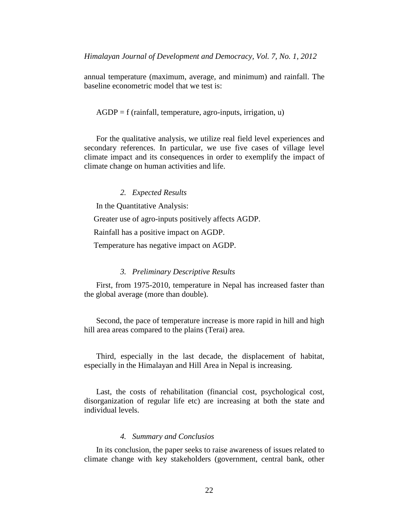annual temperature (maximum, average, and minimum) and rainfall. The baseline econometric model that we test is:

#### $AGDP = f$  (rainfall, temperature, agro-inputs, irrigation, u)

For the qualitative analysis, we utilize real field level experiences and secondary references. In particular, we use five cases of village level climate impact and its consequences in order to exemplify the impact of climate change on human activities and life.

### *2. Expected Results*

In the Quantitative Analysis:

Greater use of agro-inputs positively affects AGDP.

Rainfall has a positive impact on AGDP.

Temperature has negative impact on AGDP.

#### *3. Preliminary Descriptive Results*

First, from 1975-2010, temperature in Nepal has increased faster than the global average (more than double).

Second, the pace of temperature increase is more rapid in hill and high hill area areas compared to the plains (Terai) area.

Third, especially in the last decade, the displacement of habitat, especially in the Himalayan and Hill Area in Nepal is increasing.

Last, the costs of rehabilitation (financial cost, psychological cost, disorganization of regular life etc) are increasing at both the state and individual levels.

## *4. Summary and Conclusios*

In its conclusion, the paper seeks to raise awareness of issues related to climate change with key stakeholders (government, central bank, other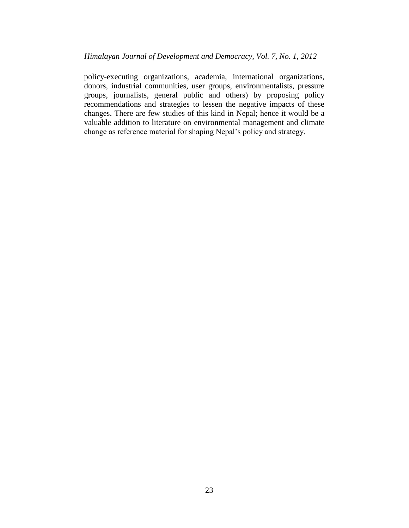policy-executing organizations, academia, international organizations, donors, industrial communities, user groups, environmentalists, pressure groups, journalists, general public and others) by proposing policy recommendations and strategies to lessen the negative impacts of these changes. There are few studies of this kind in Nepal; hence it would be a valuable addition to literature on environmental management and climate change as reference material for shaping Nepal's policy and strategy.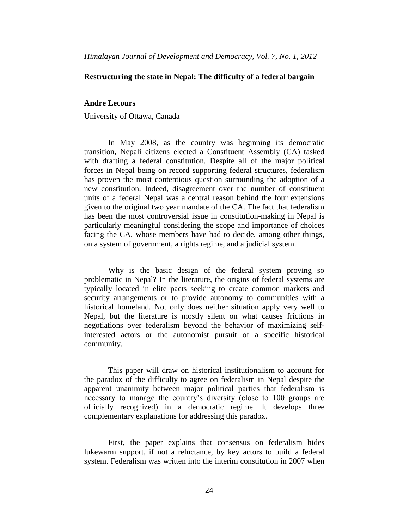## **Restructuring the state in Nepal: The difficulty of a federal bargain**

### **Andre Lecours**

University of Ottawa, Canada

In May 2008, as the country was beginning its democratic transition, Nepali citizens elected a Constituent Assembly (CA) tasked with drafting a federal constitution. Despite all of the major political forces in Nepal being on record supporting federal structures, federalism has proven the most contentious question surrounding the adoption of a new constitution. Indeed, disagreement over the number of constituent units of a federal Nepal was a central reason behind the four extensions given to the original two year mandate of the CA. The fact that federalism has been the most controversial issue in constitution-making in Nepal is particularly meaningful considering the scope and importance of choices facing the CA, whose members have had to decide, among other things, on a system of government, a rights regime, and a judicial system.

Why is the basic design of the federal system proving so problematic in Nepal? In the literature, the origins of federal systems are typically located in elite pacts seeking to create common markets and security arrangements or to provide autonomy to communities with a historical homeland. Not only does neither situation apply very well to Nepal, but the literature is mostly silent on what causes frictions in negotiations over federalism beyond the behavior of maximizing selfinterested actors or the autonomist pursuit of a specific historical community.

This paper will draw on historical institutionalism to account for the paradox of the difficulty to agree on federalism in Nepal despite the apparent unanimity between major political parties that federalism is necessary to manage the country's diversity (close to 100 groups are officially recognized) in a democratic regime. It develops three complementary explanations for addressing this paradox.

First, the paper explains that consensus on federalism hides lukewarm support, if not a reluctance, by key actors to build a federal system. Federalism was written into the interim constitution in 2007 when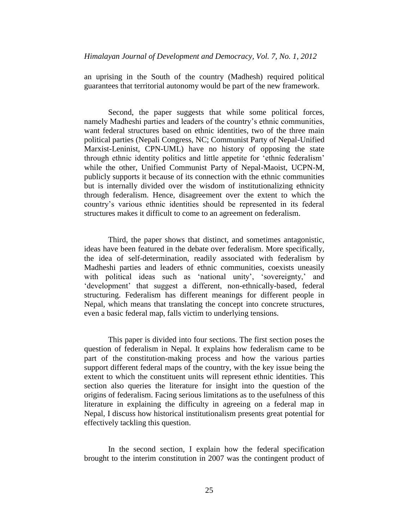an uprising in the South of the country (Madhesh) required political guarantees that territorial autonomy would be part of the new framework.

Second, the paper suggests that while some political forces, namely Madheshi parties and leaders of the country's ethnic communities, want federal structures based on ethnic identities, two of the three main political parties (Nepali Congress, NC; Communist Party of Nepal-Unified Marxist-Leninist, CPN-UML) have no history of opposing the state through ethnic identity politics and little appetite for 'ethnic federalism' while the other, Unified Communist Party of Nepal-Maoist, UCPN-M, publicly supports it because of its connection with the ethnic communities but is internally divided over the wisdom of institutionalizing ethnicity through federalism. Hence, disagreement over the extent to which the country's various ethnic identities should be represented in its federal structures makes it difficult to come to an agreement on federalism.

Third, the paper shows that distinct, and sometimes antagonistic, ideas have been featured in the debate over federalism. More specifically, the idea of self-determination, readily associated with federalism by Madheshi parties and leaders of ethnic communities, coexists uneasily with political ideas such as 'national unity', 'sovereignty,' and 'development' that suggest a different, non-ethnically-based, federal structuring. Federalism has different meanings for different people in Nepal, which means that translating the concept into concrete structures, even a basic federal map, falls victim to underlying tensions.

This paper is divided into four sections. The first section poses the question of federalism in Nepal. It explains how federalism came to be part of the constitution-making process and how the various parties support different federal maps of the country, with the key issue being the extent to which the constituent units will represent ethnic identities. This section also queries the literature for insight into the question of the origins of federalism. Facing serious limitations as to the usefulness of this literature in explaining the difficulty in agreeing on a federal map in Nepal, I discuss how historical institutionalism presents great potential for effectively tackling this question.

In the second section, I explain how the federal specification brought to the interim constitution in 2007 was the contingent product of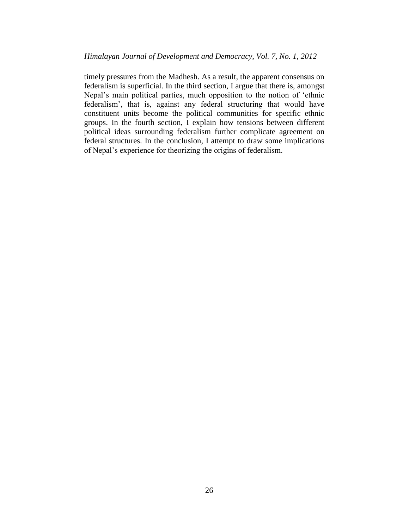timely pressures from the Madhesh. As a result, the apparent consensus on federalism is superficial. In the third section, I argue that there is, amongst Nepal's main political parties, much opposition to the notion of 'ethnic federalism', that is, against any federal structuring that would have constituent units become the political communities for specific ethnic groups. In the fourth section, I explain how tensions between different political ideas surrounding federalism further complicate agreement on federal structures. In the conclusion, I attempt to draw some implications of Nepal's experience for theorizing the origins of federalism.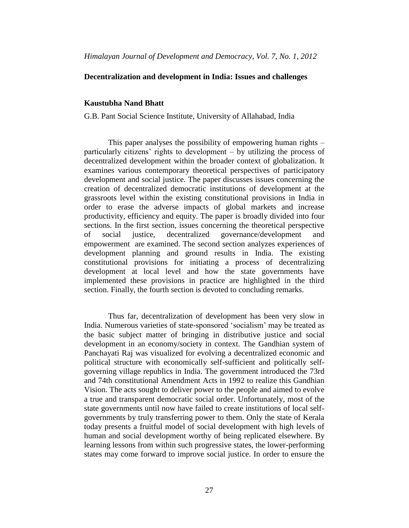## **Decentralization and development in India: Issues and challenges**

### **Kaustubha Nand Bhatt**

G.B. Pant Social Science Institute, University of Allahabad, India

This paper analyses the possibility of empowering human rights – particularly citizens' rights to development – by utilizing the process of decentralized development within the broader context of globalization. It examines various contemporary theoretical perspectives of participatory development and social justice. The paper discusses issues concerning the creation of decentralized democratic institutions of development at the grassroots level within the existing constitutional provisions in India in order to erase the adverse impacts of global markets and increase productivity, efficiency and equity. The paper is broadly divided into four sections. In the first section, issues concerning the theoretical perspective of social justice, decentralized governance/development and empowerment are examined. The second section analyzes experiences of development planning and ground results in India. The existing constitutional provisions for initiating a process of decentralizing development at local level and how the state governments have implemented these provisions in practice are highlighted in the third section. Finally, the fourth section is devoted to concluding remarks.

Thus far, decentralization of development has been very slow in India. Numerous varieties of state-sponsored 'socialism' may be treated as the basic subject matter of bringing in distributive justice and social development in an economy/society in context. The Gandhian system of Panchayati Raj was visualized for evolving a decentralized economic and political structure with economically self-sufficient and politically selfgoverning village republics in India. The government introduced the 73rd and 74th constitutional Amendment Acts in 1992 to realize this Gandhian Vision. The acts sought to deliver power to the people and aimed to evolve a true and transparent democratic social order. Unfortunately, most of the state governments until now have failed to create institutions of local selfgovernments by truly transferring power to them. Only the state of Kerala today presents a fruitful model of social development with high levels of human and social development worthy of being replicated elsewhere. By learning lessons from within such progressive states, the lower-performing states may come forward to improve social justice. In order to ensure the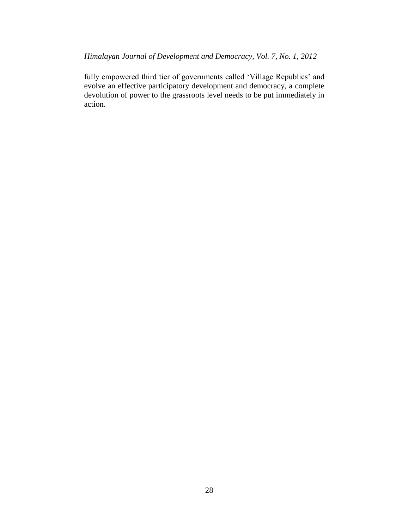fully empowered third tier of governments called 'Village Republics' and evolve an effective participatory development and democracy, a complete devolution of power to the grassroots level needs to be put immediately in action.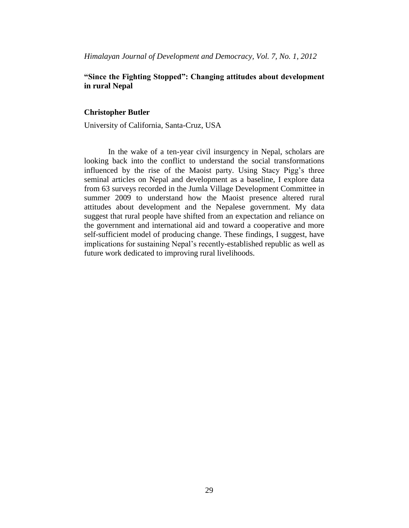# **"Since the Fighting Stopped": Changing attitudes about development in rural Nepal**

#### **Christopher Butler**

University of California, Santa-Cruz, USA

In the wake of a ten-year civil insurgency in Nepal, scholars are looking back into the conflict to understand the social transformations influenced by the rise of the Maoist party. Using Stacy Pigg's three seminal articles on Nepal and development as a baseline, I explore data from 63 surveys recorded in the Jumla Village Development Committee in summer 2009 to understand how the Maoist presence altered rural attitudes about development and the Nepalese government. My data suggest that rural people have shifted from an expectation and reliance on the government and international aid and toward a cooperative and more self-sufficient model of producing change. These findings, I suggest, have implications for sustaining Nepal's recently-established republic as well as future work dedicated to improving rural livelihoods.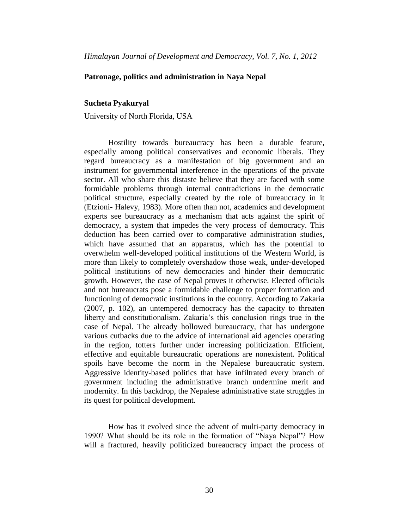## **Patronage, politics and administration in Naya Nepal**

### **Sucheta Pyakuryal**

University of North Florida, USA

Hostility towards bureaucracy has been a durable feature, especially among political conservatives and economic liberals. They regard bureaucracy as a manifestation of big government and an instrument for governmental interference in the operations of the private sector. All who share this distaste believe that they are faced with some formidable problems through internal contradictions in the democratic political structure, especially created by the role of bureaucracy in it (Etzioni- Halevy, 1983). More often than not, academics and development experts see bureaucracy as a mechanism that acts against the spirit of democracy, a system that impedes the very process of democracy. This deduction has been carried over to comparative administration studies, which have assumed that an apparatus, which has the potential to overwhelm well-developed political institutions of the Western World, is more than likely to completely overshadow those weak, under-developed political institutions of new democracies and hinder their democratic growth. However, the case of Nepal proves it otherwise. Elected officials and not bureaucrats pose a formidable challenge to proper formation and functioning of democratic institutions in the country. According to Zakaria (2007, p. 102), an untempered democracy has the capacity to threaten liberty and constitutionalism. Zakaria's this conclusion rings true in the case of Nepal. The already hollowed bureaucracy, that has undergone various cutbacks due to the advice of international aid agencies operating in the region, totters further under increasing politicization. Efficient, effective and equitable bureaucratic operations are nonexistent. Political spoils have become the norm in the Nepalese bureaucratic system. Aggressive identity-based politics that have infiltrated every branch of government including the administrative branch undermine merit and modernity. In this backdrop, the Nepalese administrative state struggles in its quest for political development.

How has it evolved since the advent of multi-party democracy in 1990? What should be its role in the formation of "Naya Nepal"? How will a fractured, heavily politicized bureaucracy impact the process of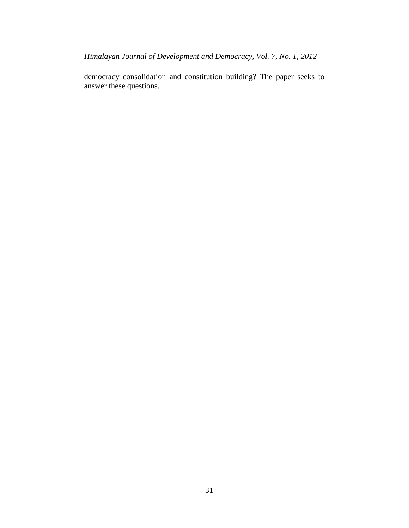*Himalayan Journal of Development and Democracy, Vol. 7, No. 1, 2012*

<span id="page-36-0"></span>democracy consolidation and constitution building? The paper seeks to answer these questions.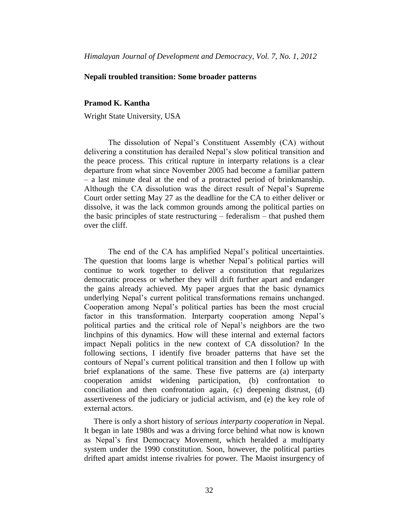## **Nepali troubled transition: Some broader patterns**

## **Pramod K. Kantha**

Wright State University, USA

The dissolution of Nepal's Constituent Assembly (CA) without delivering a constitution has derailed Nepal's slow political transition and the peace process. This critical rupture in interparty relations is a clear departure from what since November 2005 had become a familiar pattern – a last minute deal at the end of a protracted period of brinkmanship. Although the CA dissolution was the direct result of Nepal's Supreme Court order setting May 27 as the deadline for the CA to either deliver or dissolve, it was the lack common grounds among the political parties on the basic principles of state restructuring – federalism – that pushed them over the cliff.

The end of the CA has amplified Nepal's political uncertainties. The question that looms large is whether Nepal's political parties will continue to work together to deliver a constitution that regularizes democratic process or whether they will drift further apart and endanger the gains already achieved. My paper argues that the basic dynamics underlying Nepal's current political transformations remains unchanged. Cooperation among Nepal's political parties has been the most crucial factor in this transformation. Interparty cooperation among Nepal's political parties and the critical role of Nepal's neighbors are the two linchpins of this dynamics. How will these internal and external factors impact Nepali politics in the new context of CA dissolution? In the following sections, I identify five broader patterns that have set the contours of Nepal's current political transition and then I follow up with brief explanations of the same. These five patterns are (a) interparty cooperation amidst widening participation, (b) confrontation to conciliation and then confrontation again, (c) deepening distrust, (d) assertiveness of the judiciary or judicial activism, and (e) the key role of external actors.

There is only a short history of *serious interparty cooperation* in Nepal. It began in late 1980s and was a driving force behind what now is known as Nepal's first Democracy Movement, which heralded a multiparty system under the 1990 constitution. Soon, however, the political parties drifted apart amidst intense rivalries for power. The Maoist insurgency of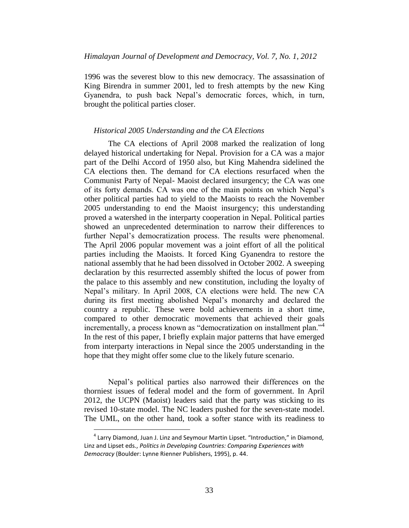1996 was the severest blow to this new democracy. The assassination of King Birendra in summer 2001, led to fresh attempts by the new King Gyanendra, to push back Nepal's democratic forces, which, in turn, brought the political parties closer.

#### *Historical 2005 Understanding and the CA Elections*

The CA elections of April 2008 marked the realization of long delayed historical undertaking for Nepal. Provision for a CA was a major part of the Delhi Accord of 1950 also, but King Mahendra sidelined the CA elections then. The demand for CA elections resurfaced when the Communist Party of Nepal- Maoist declared insurgency; the CA was one of its forty demands. CA was one of the main points on which Nepal's other political parties had to yield to the Maoists to reach the November 2005 understanding to end the Maoist insurgency; this understanding proved a watershed in the interparty cooperation in Nepal. Political parties showed an unprecedented determination to narrow their differences to further Nepal's democratization process. The results were phenomenal. The April 2006 popular movement was a joint effort of all the political parties including the Maoists. It forced King Gyanendra to restore the national assembly that he had been dissolved in October 2002. A sweeping declaration by this resurrected assembly shifted the locus of power from the palace to this assembly and new constitution, including the loyalty of Nepal's military. In April 2008, CA elections were held. The new CA during its first meeting abolished Nepal's monarchy and declared the country a republic. These were bold achievements in a short time, compared to other democratic movements that achieved their goals incrementally, a process known as "democratization on installment plan."<sup>4</sup> In the rest of this paper, I briefly explain major patterns that have emerged from interparty interactions in Nepal since the 2005 understanding in the hope that they might offer some clue to the likely future scenario.

Nepal's political parties also narrowed their differences on the thorniest issues of federal model and the form of government. In April 2012, the UCPN (Maoist) leaders said that the party was sticking to its revised 10-state model. The NC leaders pushed for the seven-state model. The UML, on the other hand, took a softer stance with its readiness to

 $\overline{a}$ 

<sup>&</sup>lt;sup>4</sup> Larry Diamond, Juan J. Linz and Seymour Martin Lipset. "Introduction," in Diamond, Linz and Lipset eds., *Politics in Developing Countries: Comparing Experiences with Democracy* (Boulder: Lynne Rienner Publishers, 1995), p. 44.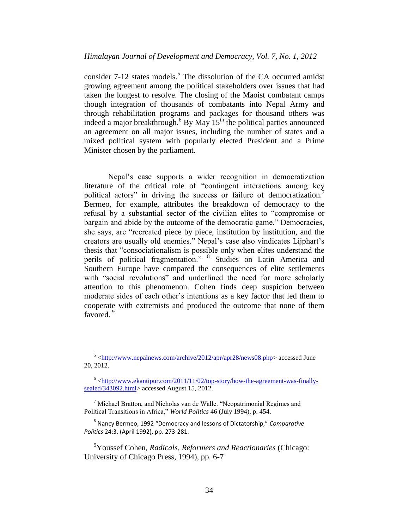consider  $7-12$  states models.<sup>5</sup> The dissolution of the CA occurred amidst growing agreement among the political stakeholders over issues that had taken the longest to resolve. The closing of the Maoist combatant camps though integration of thousands of combatants into Nepal Army and through rehabilitation programs and packages for thousand others was indeed a major breakthrough.<sup>6</sup> By May  $15<sup>th</sup>$  the political parties announced an agreement on all major issues, including the number of states and a mixed political system with popularly elected President and a Prime Minister chosen by the parliament.

Nepal's case supports a wider recognition in democratization literature of the critical role of "contingent interactions among key political actors" in driving the success or failure of democratization.<sup>7</sup> Bermeo, for example, attributes the breakdown of democracy to the refusal by a substantial sector of the civilian elites to "compromise or bargain and abide by the outcome of the democratic game." Democracies, she says, are "recreated piece by piece, institution by institution, and the creators are usually old enemies." Nepal's case also vindicates Lijphart's thesis that "consociationalism is possible only when elites understand the perils of political fragmentation." <sup>8</sup> Studies on Latin America and Southern Europe have compared the consequences of elite settlements with "social revolutions" and underlined the need for more scholarly attention to this phenomenon. Cohen finds deep suspicion between moderate sides of each other's intentions as a key factor that led them to cooperate with extremists and produced the outcome that none of them favored.<sup>9</sup>

<sup>&</sup>lt;sup>5</sup> [<http://www.nepalnews.com/archive/2012/apr/apr28/news08.php>](http://www.nepalnews.com/archive/2012/apr/apr28/news08.php) accessed June 20, 2012.

 $6$  [<http://www.ekantipur.com/2011/11/02/top-story/how-the-agreement-was-finally](http://www.ekantipur.com/2011/11/02/top-story/how-the-agreement-was-finally-sealed/343092.html)[sealed/343092.html>](http://www.ekantipur.com/2011/11/02/top-story/how-the-agreement-was-finally-sealed/343092.html) accessed August 15, 2012.

<sup>7</sup> Michael Bratton, and Nicholas van de Walle. "Neopatrimonial Regimes and Political Transitions in Africa," *World Politics* 46 (July 1994), p. 454.

<sup>8</sup> Nancy Bermeo, 1992 "Democracy and lessons of Dictatorship," *Comparative Politics* 24:3, (April 1992), pp. 273-281.

<sup>9</sup>Youssef Cohen, *Radicals, Reformers and Reactionaries* (Chicago: University of Chicago Press, 1994), pp. 6-7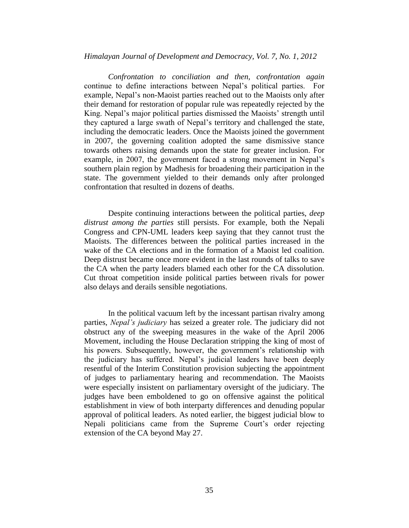*Confrontation to conciliation and then, confrontation again*  continue to define interactions between Nepal's political parties. For example, Nepal's non-Maoist parties reached out to the Maoists only after their demand for restoration of popular rule was repeatedly rejected by the King. Nepal's major political parties dismissed the Maoists' strength until they captured a large swath of Nepal's territory and challenged the state, including the democratic leaders. Once the Maoists joined the government in 2007, the governing coalition adopted the same dismissive stance towards others raising demands upon the state for greater inclusion. For example, in 2007, the government faced a strong movement in Nepal's southern plain region by Madhesis for broadening their participation in the state. The government yielded to their demands only after prolonged confrontation that resulted in dozens of deaths.

Despite continuing interactions between the political parties, *deep distrust among the parties* still persists. For example, both the Nepali Congress and CPN-UML leaders keep saying that they cannot trust the Maoists. The differences between the political parties increased in the wake of the CA elections and in the formation of a Maoist led coalition. Deep distrust became once more evident in the last rounds of talks to save the CA when the party leaders blamed each other for the CA dissolution. Cut throat competition inside political parties between rivals for power also delays and derails sensible negotiations.

In the political vacuum left by the incessant partisan rivalry among parties, *Nepal's judiciary* has seized a greater role. The judiciary did not obstruct any of the sweeping measures in the wake of the April 2006 Movement, including the House Declaration stripping the king of most of his powers. Subsequently, however, the government's relationship with the judiciary has suffered. Nepal's judicial leaders have been deeply resentful of the Interim Constitution provision subjecting the appointment of judges to parliamentary hearing and recommendation. The Maoists were especially insistent on parliamentary oversight of the judiciary. The judges have been emboldened to go on offensive against the political establishment in view of both interparty differences and denuding popular approval of political leaders. As noted earlier, the biggest judicial blow to Nepali politicians came from the Supreme Court's order rejecting extension of the CA beyond May 27.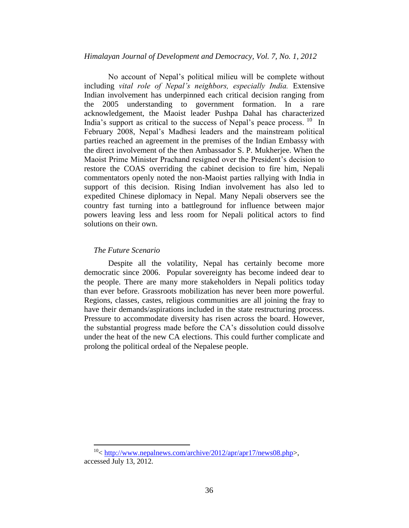No account of Nepal's political milieu will be complete without including *vital role of Nepal's neighbors, especially India.* Extensive Indian involvement has underpinned each critical decision ranging from the 2005 understanding to government formation. In a rare acknowledgement, the Maoist leader Pushpa Dahal has characterized India's support as critical to the success of Nepal's peace process.  $10$  In February 2008, Nepal's Madhesi leaders and the mainstream political parties reached an agreement in the premises of the Indian Embassy with the direct involvement of the then Ambassador S. P. Mukherjee. When the Maoist Prime Minister Prachand resigned over the President's decision to restore the COAS overriding the cabinet decision to fire him, Nepali commentators openly noted the non-Maoist parties rallying with India in support of this decision. Rising Indian involvement has also led to expedited Chinese diplomacy in Nepal. Many Nepali observers see the country fast turning into a battleground for influence between major powers leaving less and less room for Nepali political actors to find solutions on their own.

### *The Future Scenario*

 $\overline{a}$ 

Despite all the volatility, Nepal has certainly become more democratic since 2006. Popular sovereignty has become indeed dear to the people. There are many more stakeholders in Nepali politics today than ever before. Grassroots mobilization has never been more powerful. Regions, classes, castes, religious communities are all joining the fray to have their demands/aspirations included in the state restructuring process. Pressure to accommodate diversity has risen across the board. However, the substantial progress made before the CA's dissolution could dissolve under the heat of the new CA elections. This could further complicate and prolong the political ordeal of the Nepalese people.

<sup>&</sup>lt;sup>10</sup> < [http://www.nepalnews.com/archive/2012/apr/apr17/news08.php>](http://www.nepalnews.com/archive/2012/apr/apr17/news08.php), accessed July 13, 2012.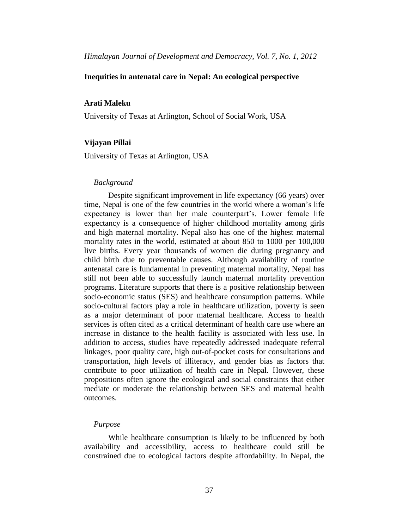## **Inequities in antenatal care in Nepal: An ecological perspective**

## **Arati Maleku**

University of Texas at Arlington, School of Social Work, USA

#### **Vijayan Pillai**

University of Texas at Arlington, USA

#### *Background*

Despite significant improvement in life expectancy (66 years) over time, Nepal is one of the few countries in the world where a woman's life expectancy is lower than her male counterpart's. Lower female life expectancy is a consequence of higher childhood mortality among girls and high maternal mortality. Nepal also has one of the highest maternal mortality rates in the world, estimated at about 850 to 1000 per 100,000 live births. Every year thousands of women die during pregnancy and child birth due to preventable causes. Although availability of routine antenatal care is fundamental in preventing maternal mortality, Nepal has still not been able to successfully launch maternal mortality prevention programs. Literature supports that there is a positive relationship between socio-economic status (SES) and healthcare consumption patterns. While socio-cultural factors play a role in healthcare utilization, poverty is seen as a major determinant of poor maternal healthcare. Access to health services is often cited as a critical determinant of health care use where an increase in distance to the health facility is associated with less use. In addition to access, studies have repeatedly addressed inadequate referral linkages, poor quality care, high out-of-pocket costs for consultations and transportation, high levels of illiteracy, and gender bias as factors that contribute to poor utilization of health care in Nepal. However, these propositions often ignore the ecological and social constraints that either mediate or moderate the relationship between SES and maternal health outcomes.

#### *Purpose*

While healthcare consumption is likely to be influenced by both availability and accessibility, access to healthcare could still be constrained due to ecological factors despite affordability. In Nepal, the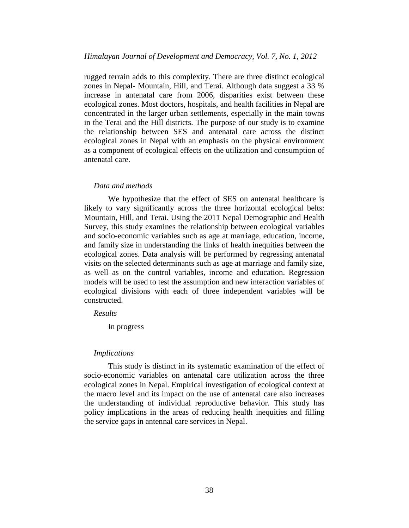rugged terrain adds to this complexity. There are three distinct ecological zones in Nepal- Mountain, Hill, and Terai. Although data suggest a 33 % increase in antenatal care from 2006, disparities exist between these ecological zones. Most doctors, hospitals, and health facilities in Nepal are concentrated in the larger urban settlements, especially in the main towns in the Terai and the Hill districts. The purpose of our study is to examine the relationship between SES and antenatal care across the distinct ecological zones in Nepal with an emphasis on the physical environment as a component of ecological effects on the utilization and consumption of antenatal care.

#### *Data and methods*

We hypothesize that the effect of SES on antenatal healthcare is likely to vary significantly across the three horizontal ecological belts: Mountain, Hill, and Terai. Using the 2011 Nepal Demographic and Health Survey, this study examines the relationship between ecological variables and socio-economic variables such as age at marriage, education, income, and family size in understanding the links of health inequities between the ecological zones. Data analysis will be performed by regressing antenatal visits on the selected determinants such as age at marriage and family size, as well as on the control variables, income and education. Regression models will be used to test the assumption and new interaction variables of ecological divisions with each of three independent variables will be constructed.

*Results*

In progress

#### *Implications*

This study is distinct in its systematic examination of the effect of socio-economic variables on antenatal care utilization across the three ecological zones in Nepal. Empirical investigation of ecological context at the macro level and its impact on the use of antenatal care also increases the understanding of individual reproductive behavior. This study has policy implications in the areas of reducing health inequities and filling the service gaps in antennal care services in Nepal.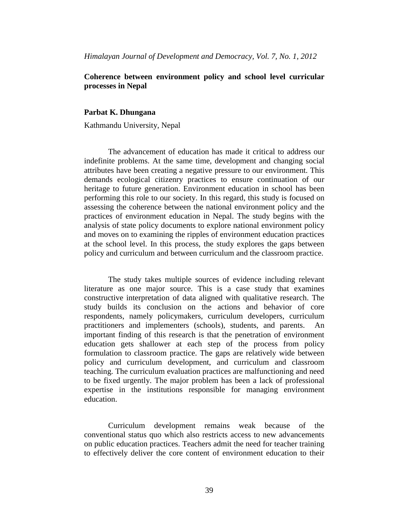# **Coherence between environment policy and school level curricular processes in Nepal**

#### **Parbat K. Dhungana**

Kathmandu University, Nepal

The advancement of education has made it critical to address our indefinite problems. At the same time, development and changing social attributes have been creating a negative pressure to our environment. This demands ecological citizenry practices to ensure continuation of our heritage to future generation. Environment education in school has been performing this role to our society. In this regard, this study is focused on assessing the coherence between the national environment policy and the practices of environment education in Nepal. The study begins with the analysis of state policy documents to explore national environment policy and moves on to examining the ripples of environment education practices at the school level. In this process, the study explores the gaps between policy and curriculum and between curriculum and the classroom practice.

The study takes multiple sources of evidence including relevant literature as one major source. This is a case study that examines constructive interpretation of data aligned with qualitative research. The study builds its conclusion on the actions and behavior of core respondents, namely policymakers, curriculum developers, curriculum practitioners and implementers (schools), students, and parents. important finding of this research is that the penetration of environment education gets shallower at each step of the process from policy formulation to classroom practice. The gaps are relatively wide between policy and curriculum development, and curriculum and classroom teaching. The curriculum evaluation practices are malfunctioning and need to be fixed urgently. The major problem has been a lack of professional expertise in the institutions responsible for managing environment education.

Curriculum development remains weak because of the conventional status quo which also restricts access to new advancements on public education practices. Teachers admit the need for teacher training to effectively deliver the core content of environment education to their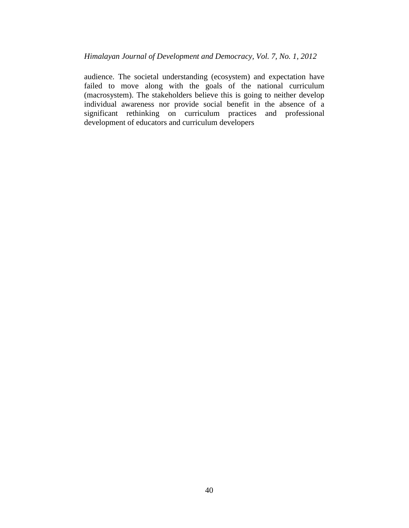audience. The societal understanding (ecosystem) and expectation have failed to move along with the goals of the national curriculum (macrosystem). The stakeholders believe this is going to neither develop individual awareness nor provide social benefit in the absence of a significant rethinking on curriculum practices and professional development of educators and curriculum developers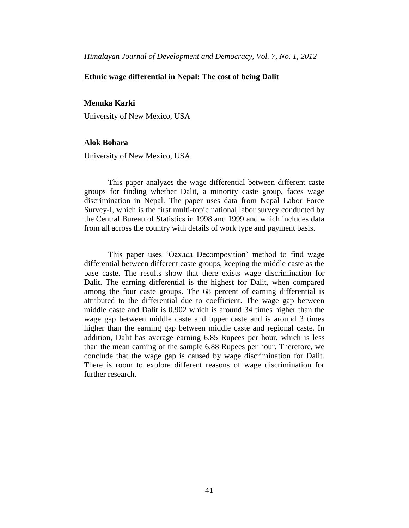## **Ethnic wage differential in Nepal: The cost of being Dalit**

## **Menuka Karki**

University of New Mexico, USA

#### **Alok Bohara**

University of New Mexico, USA

This paper analyzes the wage differential between different caste groups for finding whether Dalit, a minority caste group, faces wage discrimination in Nepal. The paper uses data from Nepal Labor Force Survey-I, which is the first multi-topic national labor survey conducted by the Central Bureau of Statistics in 1998 and 1999 and which includes data from all across the country with details of work type and payment basis.

This paper uses 'Oaxaca Decomposition' method to find wage differential between different caste groups, keeping the middle caste as the base caste. The results show that there exists wage discrimination for Dalit. The earning differential is the highest for Dalit, when compared among the four caste groups. The 68 percent of earning differential is attributed to the differential due to coefficient. The wage gap between middle caste and Dalit is 0.902 which is around 34 times higher than the wage gap between middle caste and upper caste and is around 3 times higher than the earning gap between middle caste and regional caste. In addition, Dalit has average earning 6.85 Rupees per hour, which is less than the mean earning of the sample 6.88 Rupees per hour. Therefore, we conclude that the wage gap is caused by wage discrimination for Dalit. There is room to explore different reasons of wage discrimination for further research.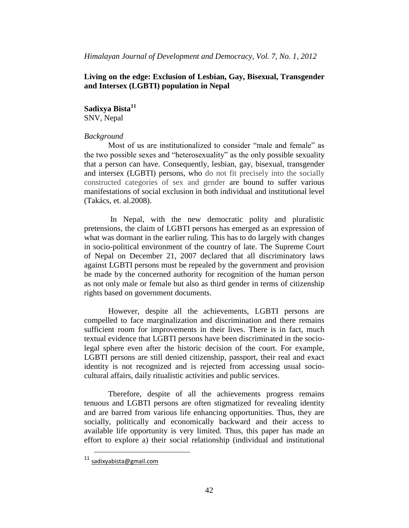# **Living on the edge: Exclusion of Lesbian, Gay, Bisexual, Transgender and Intersex (LGBTI) population in Nepal**

# **Sadixya Bista<sup>11</sup>**

SNV, Nepal

# *Background*

Most of us are institutionalized to consider "male and female" as the two possible sexes and "heterosexuality" as the only possible sexuality that a person can have. Consequently, lesbian, gay, bisexual, transgender and intersex (LGBTI) persons, who do not fit precisely into the socially constructed categories of sex and gender are bound to suffer various manifestations of social exclusion in both individual and institutional level (Takács, et. al.2008).

In Nepal, with the new democratic polity and pluralistic pretensions, the claim of LGBTI persons has emerged as an expression of what was dormant in the earlier ruling. This has to do largely with changes in socio-political environment of the country of late. The Supreme Court of Nepal on December 21, 2007 declared that all discriminatory laws against LGBTI persons must be repealed by the government and provision be made by the concerned authority for recognition of the human person as not only male or female but also as third gender in terms of citizenship rights based on government documents.

However, despite all the achievements, LGBTI persons are compelled to face marginalization and discrimination and there remains sufficient room for improvements in their lives. There is in fact, much textual evidence that LGBTI persons have been discriminated in the sociolegal sphere even after the historic decision of the court. For example, LGBTI persons are still denied citizenship, passport, their real and exact identity is not recognized and is rejected from accessing usual sociocultural affairs, daily ritualistic activities and public services.

Therefore, despite of all the achievements progress remains tenuous and LGBTI persons are often stigmatized for revealing identity and are barred from various life enhancing opportunities. Thus, they are socially, politically and economically backward and their access to available life opportunity is very limited. Thus, this paper has made an effort to explore a) their social relationship (individual and institutional

 $\overline{a}$ 

<sup>11</sup> [sadixyabista@gmail.com](mailto:sadixyabista@gmail.com)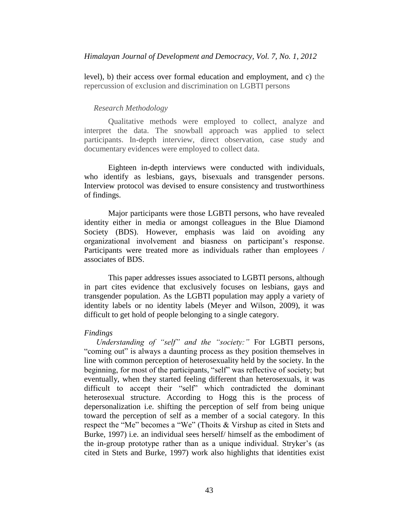level), b) their access over formal education and employment, and c) the repercussion of exclusion and discrimination on LGBTI persons

#### *Research Methodology*

Qualitative methods were employed to collect, analyze and interpret the data. The snowball approach was applied to select participants. In-depth interview, direct observation, case study and documentary evidences were employed to collect data.

Eighteen in-depth interviews were conducted with individuals, who identify as lesbians, gays, bisexuals and transgender persons. Interview protocol was devised to ensure consistency and trustworthiness of findings.

Major participants were those LGBTI persons, who have revealed identity either in media or amongst colleagues in the Blue Diamond Society (BDS). However, emphasis was laid on avoiding any organizational involvement and biasness on participant's response. Participants were treated more as individuals rather than employees / associates of BDS.

This paper addresses issues associated to LGBTI persons, although in part cites evidence that exclusively focuses on lesbians, gays and transgender population. As the LGBTI population may apply a variety of identity labels or no identity labels (Meyer and Wilson, 2009), it was difficult to get hold of people belonging to a single category.

#### *Findings*

*Understanding of "self" and the "society:"* For LGBTI persons, "coming out" is always a daunting process as they position themselves in line with common perception of heterosexuality held by the society. In the beginning, for most of the participants, "self" was reflective of society; but eventually, when they started feeling different than heterosexuals, it was difficult to accept their "self" which contradicted the dominant heterosexual structure. According to Hogg this is the process of depersonalization i.e. shifting the perception of self from being unique toward the perception of self as a member of a social category. In this respect the "Me" becomes a "We" (Thoits & Virshup as cited in Stets and Burke, 1997) i.e. an individual sees herself/ himself as the embodiment of the in-group prototype rather than as a unique individual. Stryker's (as cited in Stets and Burke, 1997) work also highlights that identities exist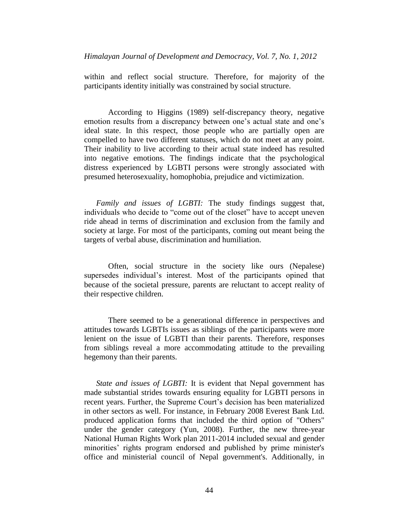within and reflect social structure. Therefore, for majority of the participants identity initially was constrained by social structure.

According to Higgins (1989) self-discrepancy theory, negative emotion results from a discrepancy between one's actual state and one's ideal state. In this respect, those people who are partially open are compelled to have two different statuses, which do not meet at any point. Their inability to live according to their actual state indeed has resulted into negative emotions. The findings indicate that the psychological distress experienced by LGBTI persons were strongly associated with presumed heterosexuality, homophobia, prejudice and victimization.

*Family and issues of LGBTI:* The study findings suggest that, individuals who decide to "come out of the closet" have to accept uneven ride ahead in terms of discrimination and exclusion from the family and society at large. For most of the participants, coming out meant being the targets of verbal abuse, discrimination and humiliation.

Often, social structure in the society like ours (Nepalese) supersedes individual's interest. Most of the participants opined that because of the societal pressure, parents are reluctant to accept reality of their respective children.

There seemed to be a generational difference in perspectives and attitudes towards LGBTIs issues as siblings of the participants were more lenient on the issue of LGBTI than their parents. Therefore, responses from siblings reveal a more accommodating attitude to the prevailing hegemony than their parents.

*State and issues of LGBTI:* It is evident that Nepal government has made substantial strides towards ensuring equality for LGBTI persons in recent years. Further, the Supreme Court's decision has been materialized in other sectors as well. For instance, in February 2008 Everest Bank Ltd. produced application forms that included the third option of "Others" under the gender category (Yun, 2008). Further, the new three-year National Human Rights Work plan 2011-2014 included sexual and gender minorities' rights program endorsed and published by prime minister's office and ministerial council of Nepal government's. Additionally, in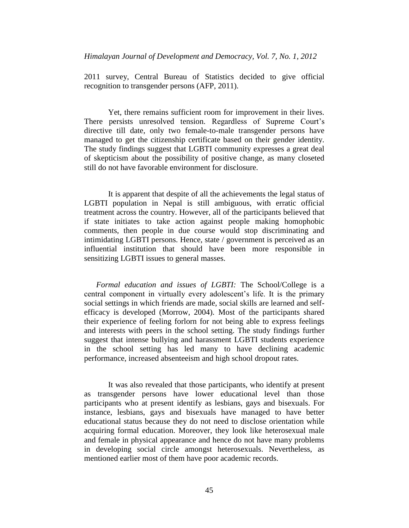2011 survey, Central Bureau of Statistics decided to give official recognition to transgender persons (AFP, 2011).

Yet, there remains sufficient room for improvement in their lives. There persists unresolved tension. Regardless of Supreme Court's directive till date, only two female-to-male transgender persons have managed to get the citizenship certificate based on their gender identity. The study findings suggest that LGBTI community expresses a great deal of skepticism about the possibility of positive change, as many closeted still do not have favorable environment for disclosure.

It is apparent that despite of all the achievements the legal status of LGBTI population in Nepal is still ambiguous, with erratic official treatment across the country. However, all of the participants believed that if state initiates to take action against people making homophobic comments, then people in due course would stop discriminating and intimidating LGBTI persons. Hence, state / government is perceived as an influential institution that should have been more responsible in sensitizing LGBTI issues to general masses.

*Formal education and issues of LGBTI:* The School/College is a central component in virtually every adolescent's life. It is the primary social settings in which friends are made, social skills are learned and selfefficacy is developed (Morrow, 2004). Most of the participants shared their experience of feeling forlorn for not being able to express feelings and interests with peers in the school setting. The study findings further suggest that intense bullying and harassment LGBTI students experience in the school setting has led many to have declining academic performance, increased absenteeism and high school dropout rates.

It was also revealed that those participants, who identify at present as transgender persons have lower educational level than those participants who at present identify as lesbians, gays and bisexuals. For instance, lesbians, gays and bisexuals have managed to have better educational status because they do not need to disclose orientation while acquiring formal education. Moreover, they look like heterosexual male and female in physical appearance and hence do not have many problems in developing social circle amongst heterosexuals. Nevertheless, as mentioned earlier most of them have poor academic records.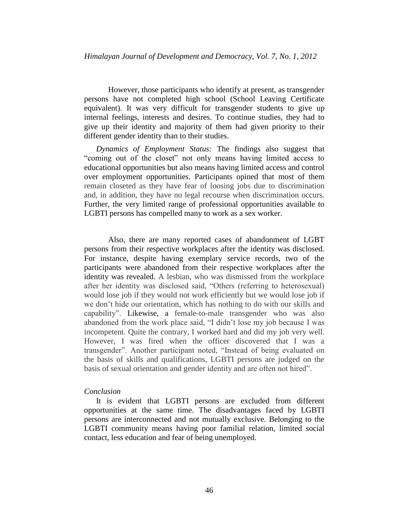However, those participants who identify at present, as transgender persons have not completed high school (School Leaving Certificate equivalent). It was very difficult for transgender students to give up internal feelings, interests and desires. To continue studies, they had to give up their identity and majority of them had given priority to their different gender identity than to their studies.

*Dynamics of Employment Status:* The findings also suggest that "coming out of the closet" not only means having limited access to educational opportunities but also means having limited access and control over employment opportunities. Participants opined that most of them remain closeted as they have fear of loosing jobs due to discrimination and, in addition, they have no legal recourse when discrimination occurs. Further, the very limited range of professional opportunities available to LGBTI persons has compelled many to work as a sex worker.

Also, there are many reported cases of abandonment of LGBT persons from their respective workplaces after the identity was disclosed. For instance, despite having exemplary service records, two of the participants were abandoned from their respective workplaces after the identity was revealed. A lesbian, who was dismissed from the workplace after her identity was disclosed said, "Others (referring to heterosexual) would lose job if they would not work efficiently but we would lose job if we don't hide our orientation, which has nothing to do with our skills and capability". Likewise, a female-to-male transgender who was also abandoned from the work place said, "I didn't lose my job because I was incompetent. Quite the contrary, I worked hard and did my job very well. However, I was fired when the officer discovered that I was a transgender". Another participant noted, "Instead of being evaluated on the basis of skills and qualifications, LGBTI persons are judged on the basis of sexual orientation and gender identity and are often not hired".

#### *Conclusion*

It is evident that LGBTI persons are excluded from different opportunities at the same time. The disadvantages faced by LGBTI persons are interconnected and not mutually exclusive. Belonging to the LGBTI community means having poor familial relation, limited social contact, less education and fear of being unemployed.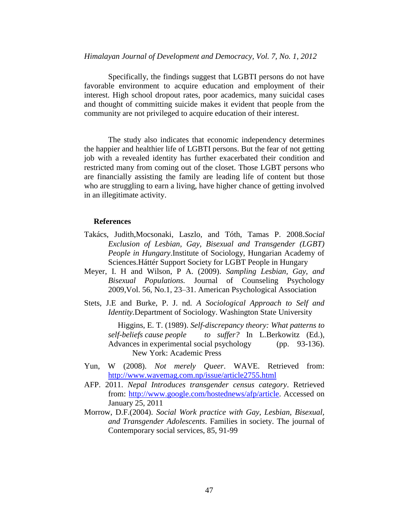Specifically, the findings suggest that LGBTI persons do not have favorable environment to acquire education and employment of their interest. High school dropout rates, poor academics, many suicidal cases and thought of committing suicide makes it evident that people from the community are not privileged to acquire education of their interest.

The study also indicates that economic independency determines the happier and healthier life of LGBTI persons. But the fear of not getting job with a revealed identity has further exacerbated their condition and restricted many from coming out of the closet. Those LGBT persons who are financially assisting the family are leading life of content but those who are struggling to earn a living, have higher chance of getting involved in an illegitimate activity.

#### **References**

- Takács, Judith,Mocsonaki, Laszlo, and Tóth, Tamas P. 2008.*Social Exclusion of Lesbian, Gay, Bisexual and Transgender (LGBT) People in Hungary*.Institute of Sociology, Hungarian Academy of Sciences.Háttér Support Society for LGBT People in Hungary
- Meyer, I. H and Wilson, P A. (2009). *Sampling Lesbian, Gay, and Bisexual Populations.* Journal of Counseling Psychology 2009,Vol. 56, No.1, 23–31. American Psychological Association
- Stets, J.E and Burke, P. J. nd. *A Sociological Approach to Self and Identity.*Department of Sociology. Washington State University

Higgins, E. T. (1989). *Self-discrepancy theory: What patterns to self-beliefs cause people to suffer?* In L.Berkowitz (Ed.), Advances in experimental social psychology (pp. 93-136). New York: Academic Press

- Yun, W (2008). *Not merely Queer*. WAVE. Retrieved from: <http://www.wavemag.com.np/issue/article2755.html>
- AFP. 2011. *Nepal Introduces transgender census category*. Retrieved from: [http://www.google.com/hostednews/afp/article.](http://www.google.com/hostednews/afp/article) Accessed on January 25, 2011
- Morrow, D.F.(2004). *Social Work practice with Gay, Lesbian, Bisexual, and Transgender Adolescents*. Families in society. The journal of Contemporary social services, 85, 91-99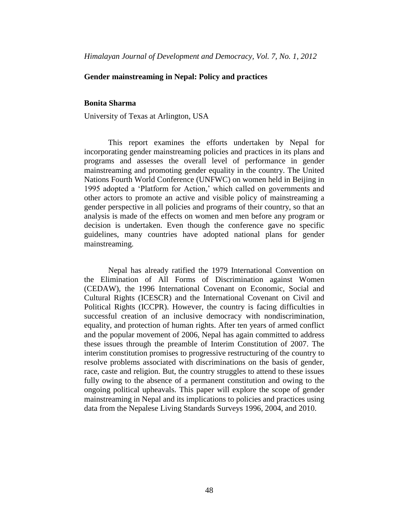### **Gender mainstreaming in Nepal: Policy and practices**

#### **Bonita Sharma**

University of Texas at Arlington, USA

This report examines the efforts undertaken by Nepal for incorporating gender mainstreaming policies and practices in its plans and programs and assesses the overall level of performance in gender mainstreaming and promoting gender equality in the country. The United Nations Fourth World Conference (UNFWC) on women held in Beijing in 1995 adopted a 'Platform for Action,' which called on governments and other actors to promote an active and visible policy of mainstreaming a gender perspective in all policies and programs of their country, so that an analysis is made of the effects on women and men before any program or decision is undertaken. Even though the conference gave no specific guidelines, many countries have adopted national plans for gender mainstreaming.

Nepal has already ratified the 1979 International Convention on the Elimination of All Forms of Discrimination against Women (CEDAW), the 1996 International Covenant on Economic, Social and Cultural Rights (ICESCR) and the International Covenant on Civil and Political Rights (ICCPR). However, the country is facing difficulties in successful creation of an inclusive democracy with nondiscrimination, equality, and protection of human rights. After ten years of armed conflict and the popular movement of 2006, Nepal has again committed to address these issues through the preamble of Interim Constitution of 2007. The interim constitution promises to progressive restructuring of the country to resolve problems associated with discriminations on the basis of gender, race, caste and religion. But, the country struggles to attend to these issues fully owing to the absence of a permanent constitution and owing to the ongoing political upheavals. This paper will explore the scope of gender mainstreaming in Nepal and its implications to policies and practices using data from the Nepalese Living Standards Surveys 1996, 2004, and 2010.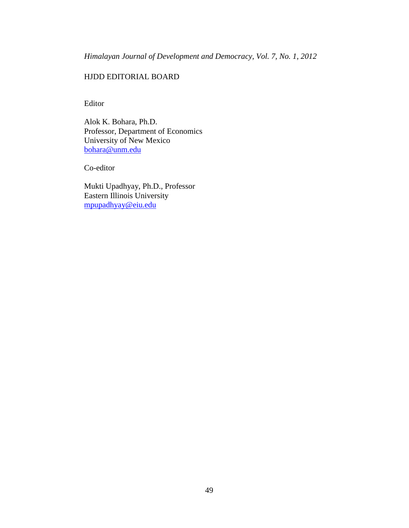# HJDD EDITORIAL BOARD

Editor

Alok K. Bohara, Ph.D. Professor, Department of Economics University of New Mexico [bohara@unm.edu](mailto:bohara@unm.edu)

Co-editor

Mukti Upadhyay, Ph.D., Professor Eastern Illinois University [mpupadhyay@eiu.edu](mailto:mpupadhyay@eiu.edu)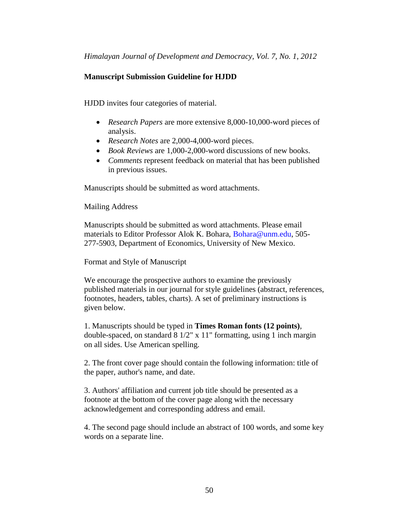# <span id="page-55-0"></span>**Manuscript Submission Guideline for HJDD**

HJDD invites four categories of material.

- *Research Papers* are more extensive 8,000-10,000-word pieces of analysis.
- *Research Notes* are 2,000-4,000-word pieces.
- *Book Reviews* are 1,000-2,000-word discussions of new books.
- *Comments* represent feedback on material that has been published in previous issues.

Manuscripts should be submitted as word attachments.

Mailing Address

Manuscripts should be submitted as word attachments. Please email materials to Editor Professor Alok K. Bohara, Bohara@unm.edu, 505- 277-5903, Department of Economics, University of New Mexico.

Format and Style of Manuscript

We encourage the prospective authors to examine the previously published materials in our journal for style guidelines (abstract, references, footnotes, headers, tables, charts). A set of preliminary instructions is given below.

1. Manuscripts should be typed in **Times Roman fonts (12 points)**, double-spaced, on standard 8 1/2" x 11" formatting, using 1 inch margin on all sides. Use American spelling.

2. The front cover page should contain the following information: title of the paper, author's name, and date.

3. Authors' affiliation and current job title should be presented as a footnote at the bottom of the cover page along with the necessary acknowledgement and corresponding address and email.

4. The second page should include an abstract of 100 words, and some key words on a separate line.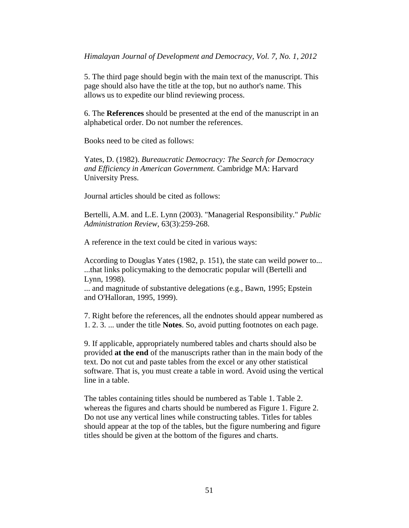5. The third page should begin with the main text of the manuscript. This page should also have the title at the top, but no author's name. This allows us to expedite our blind reviewing process.

6. The **References** should be presented at the end of the manuscript in an alphabetical order. Do not number the references.

Books need to be cited as follows:

Yates, D. (1982). *Bureaucratic Democracy: The Search for Democracy and Efficiency in American Government.* Cambridge MA: Harvard University Press.

Journal articles should be cited as follows:

Bertelli, A.M. and L.E. Lynn (2003). "Managerial Responsibility." *Public Administration Review,* 63(3):259-268.

A reference in the text could be cited in various ways:

According to Douglas Yates (1982, p. 151), the state can weild power to... ...that links policymaking to the democratic popular will (Bertelli and Lynn, 1998).

... and magnitude of substantive delegations (e.g., Bawn, 1995; Epstein and O'Halloran, 1995, 1999).

7. Right before the references, all the endnotes should appear numbered as 1. 2. 3. ... under the title **Notes**. So, avoid putting footnotes on each page.

9. If applicable, appropriately numbered tables and charts should also be provided **at the end** of the manuscripts rather than in the main body of the text. Do not cut and paste tables from the excel or any other statistical software. That is, you must create a table in word. Avoid using the vertical line in a table.

The tables containing titles should be numbered as Table 1. Table 2. whereas the figures and charts should be numbered as Figure 1. Figure 2. Do not use any vertical lines while constructing tables. Titles for tables should appear at the top of the tables, but the figure numbering and figure titles should be given at the bottom of the figures and charts.